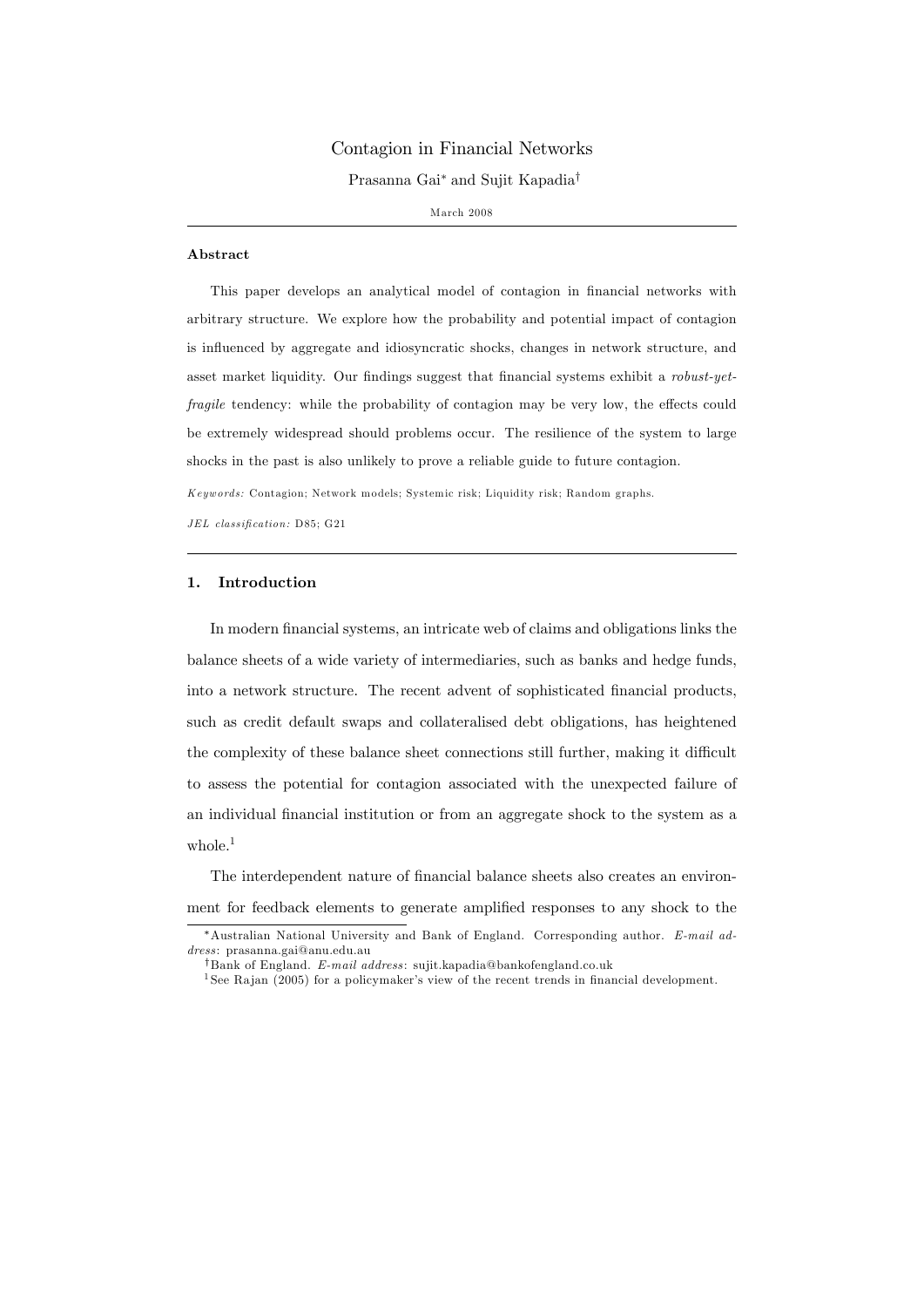# Contagion in Financial Networks

Prasanna Gai<sup>\*</sup> and Sujit Kapadia<sup>†</sup>

M arch 2008

#### Abstract

This paper develops an analytical model of contagion in financial networks with arbitrary structure. We explore how the probability and potential impact of contagion is influenced by aggregate and idiosyncratic shocks, changes in network structure, and asset market liquidity. Our findings suggest that financial systems exhibit a robust-yetfragile tendency: while the probability of contagion may be very low, the effects could be extremely widespread should problems occur. The resilience of the system to large shocks in the past is also unlikely to prove a reliable guide to future contagion.

K eyw ords: Contagion; Network m odels; Systemic risk; Liquidity risk; Random graphs.

 $JEL$  classification: D85; G21

#### 1. Introduction

In modern financial systems, an intricate web of claims and obligations links the balance sheets of a wide variety of intermediaries, such as banks and hedge funds, into a network structure. The recent advent of sophisticated Önancial products, such as credit default swaps and collateralised debt obligations, has heightened the complexity of these balance sheet connections still further, making it difficult to assess the potential for contagion associated with the unexpected failure of an individual Önancial institution or from an aggregate shock to the system as a whole. $<sup>1</sup>$ </sup>

The interdependent nature of financial balance sheets also creates an environment for feedback elements to generate amplified responses to any shock to the

<sup>\*</sup>Australian National University and Bank of England. Corresponding author. E-mail address: prasanna.gai@anu.edu.au

<sup>&</sup>lt;sup>†</sup>Bank of England. E-mail address: sujit.kapadia@bankofengland.co.uk

<sup>&</sup>lt;sup>1</sup> See Rajan (2005) for a policymaker's view of the recent trends in financial development.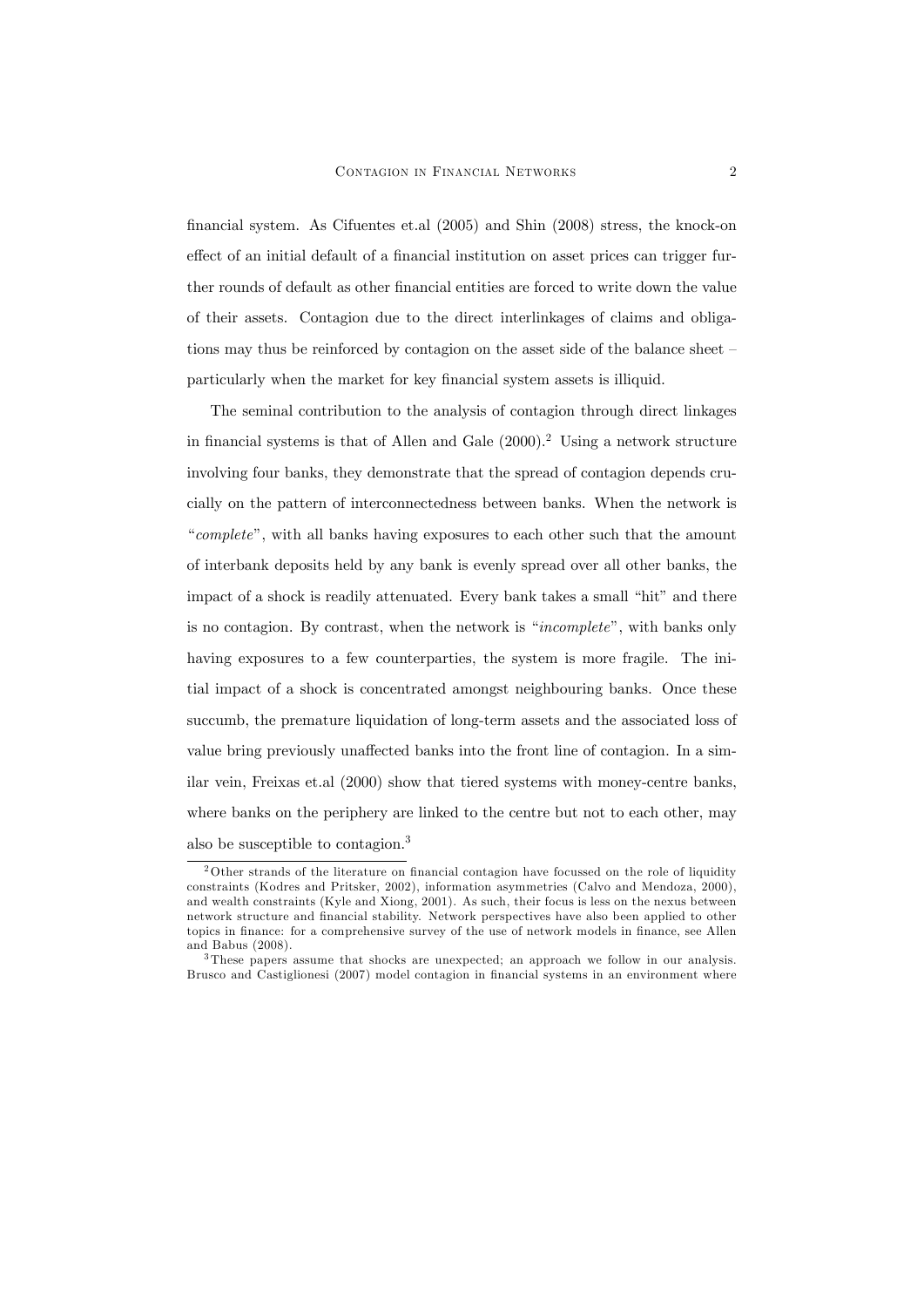Önancial system. As Cifuentes et.al (2005) and Shin (2008) stress, the knock-on effect of an initial default of a financial institution on asset prices can trigger further rounds of default as other financial entities are forced to write down the value of their assets. Contagion due to the direct interlinkages of claims and obligations may thus be reinforced by contagion on the asset side of the balance sheet  $-\frac{1}{2}$ particularly when the market for key financial system assets is illiquid.

The seminal contribution to the analysis of contagion through direct linkages in financial systems is that of Allen and Gale  $(2000).^2$  Using a network structure involving four banks, they demonstrate that the spread of contagion depends crucially on the pattern of interconnectedness between banks. When the network is "complete", with all banks having exposures to each other such that the amount of interbank deposits held by any bank is evenly spread over all other banks, the impact of a shock is readily attenuated. Every bank takes a small "hit" and there is no contagion. By contrast, when the network is "*incomplete*", with banks only having exposures to a few counterparties, the system is more fragile. The initial impact of a shock is concentrated amongst neighbouring banks. Once these succumb, the premature liquidation of long-term assets and the associated loss of value bring previously unaffected banks into the front line of contagion. In a similar vein, Freixas et.al (2000) show that tiered systems with money-centre banks, where banks on the periphery are linked to the centre but not to each other, may also be susceptible to contagion.<sup>3</sup>

 $2$ Other strands of the literature on financial contagion have focussed on the role of liquidity constraints (Kodres and Pritsker, 2002), information asymmetries (Calvo and Mendoza, 2000), and wealth constraints (Kyle and Xiong, 2001). As such, their focus is less on the nexus between network structure and Önancial stability. Network perspectives have also been applied to other topics in finance: for a comprehensive survey of the use of network models in finance, see Allen and Babus (2008).

<sup>3</sup> These papers assume that shocks are unexpected; an approach we follow in our analysis. Brusco and Castiglionesi (2007) model contagion in financial systems in an environment where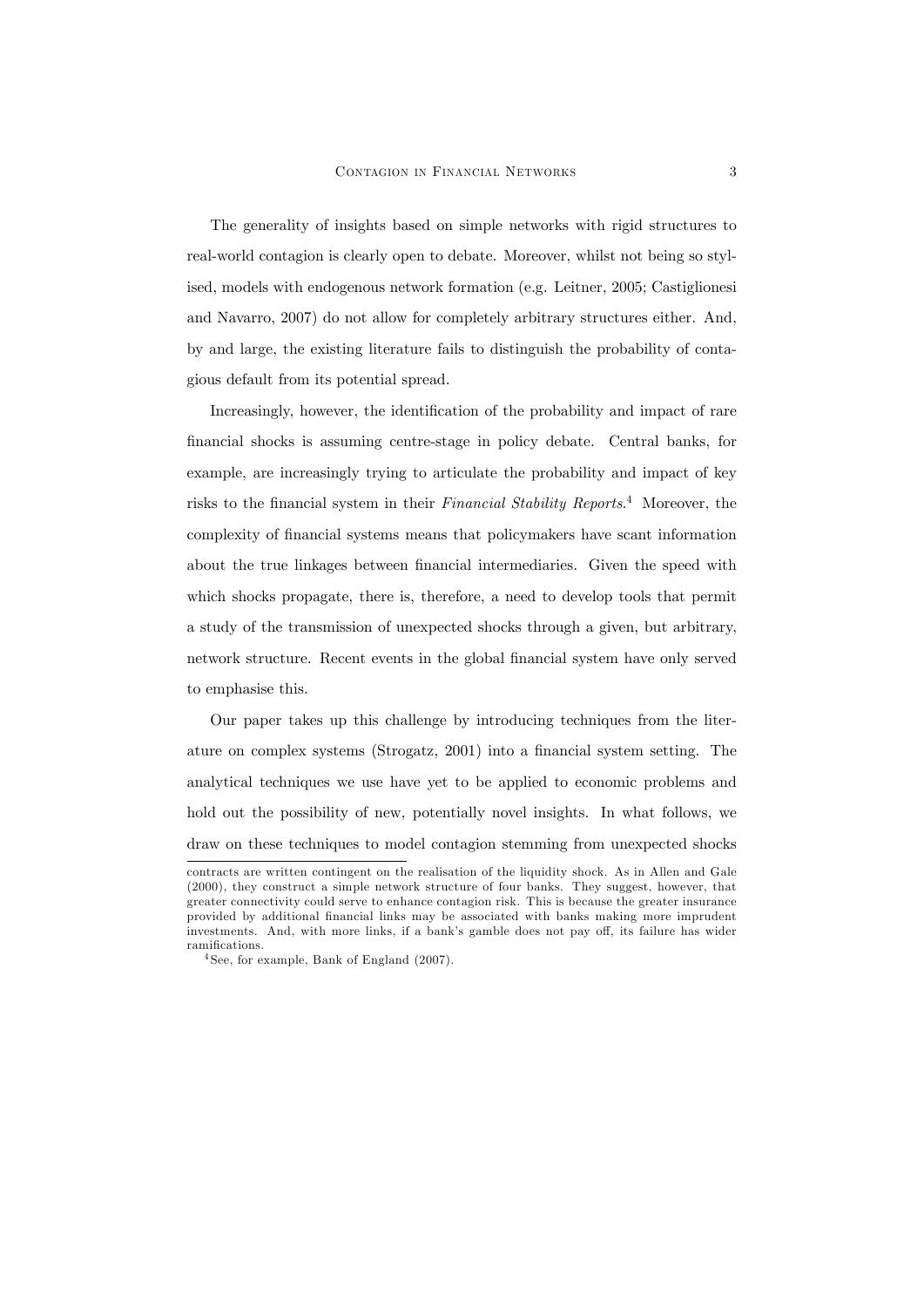The generality of insights based on simple networks with rigid structures to real-world contagion is clearly open to debate. Moreover, whilst not being so stylised, models with endogenous network formation (e.g. Leitner, 2005; Castiglionesi and Navarro, 2007) do not allow for completely arbitrary structures either. And, by and large, the existing literature fails to distinguish the probability of contagious default from its potential spread.

Increasingly, however, the identification of the probability and impact of rare financial shocks is assuming centre-stage in policy debate. Central banks, for example, are increasingly trying to articulate the probability and impact of key risks to the financial system in their Financial Stability Reports.<sup>4</sup> Moreover, the complexity of Önancial systems means that policymakers have scant information about the true linkages between financial intermediaries. Given the speed with which shocks propagate, there is, therefore, a need to develop tools that permit a study of the transmission of unexpected shocks through a given, but arbitrary, network structure. Recent events in the global financial system have only served to emphasise this.

Our paper takes up this challenge by introducing techniques from the literature on complex systems (Strogatz, 2001) into a financial system setting. The analytical techniques we use have yet to be applied to economic problems and hold out the possibility of new, potentially novel insights. In what follows, we draw on these techniques to model contagion stemming from unexpected shocks

contracts are written contingent on the realisation of the liquidity shock. As in Allen and Gale (2000), they construct a simple network structure of four banks. They suggest, however, that greater connectivity could serve to enhance contagion risk. This is because the greater insurance provided by additional Önancial links may be associated with banks making more imprudent investments. And, with more links, if a bank's gamble does not pay off, its failure has wider ramifications.

<sup>4</sup> See, for example, Bank of England (2007).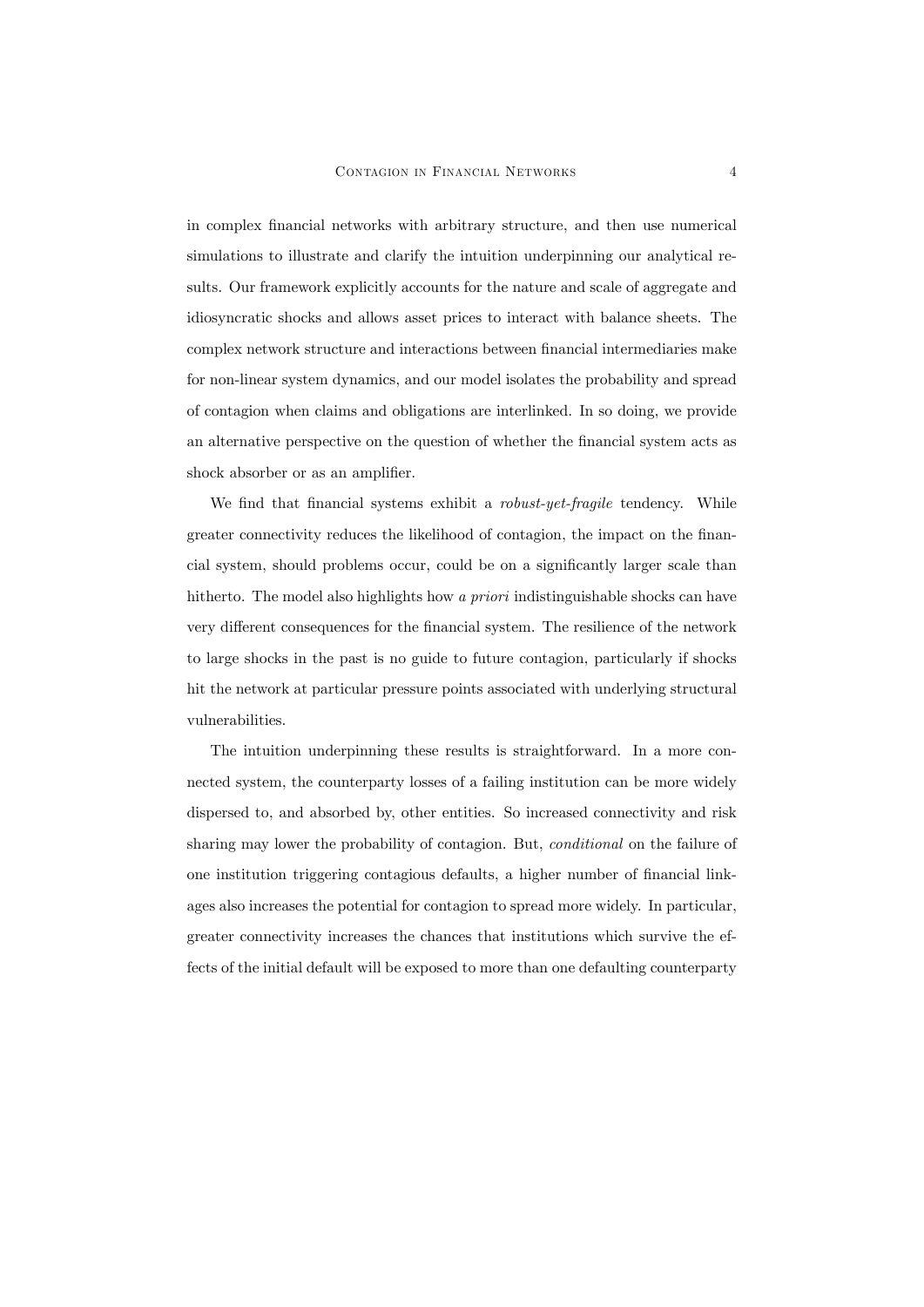in complex Önancial networks with arbitrary structure, and then use numerical simulations to illustrate and clarify the intuition underpinning our analytical results. Our framework explicitly accounts for the nature and scale of aggregate and idiosyncratic shocks and allows asset prices to interact with balance sheets. The complex network structure and interactions between financial intermediaries make for non-linear system dynamics, and our model isolates the probability and spread of contagion when claims and obligations are interlinked. In so doing, we provide an alternative perspective on the question of whether the financial system acts as shock absorber or as an amplifier.

We find that financial systems exhibit a *robust-yet-fragile* tendency. While greater connectivity reduces the likelihood of contagion, the impact on the financial system, should problems occur, could be on a significantly larger scale than hitherto. The model also highlights how a priori indistinguishable shocks can have very different consequences for the financial system. The resilience of the network to large shocks in the past is no guide to future contagion, particularly if shocks hit the network at particular pressure points associated with underlying structural vulnerabilities.

The intuition underpinning these results is straightforward. In a more connected system, the counterparty losses of a failing institution can be more widely dispersed to, and absorbed by, other entities. So increased connectivity and risk sharing may lower the probability of contagion. But, conditional on the failure of one institution triggering contagious defaults, a higher number of financial linkages also increases the potential for contagion to spread more widely. In particular, greater connectivity increases the chances that institutions which survive the effects of the initial default will be exposed to more than one defaulting counterparty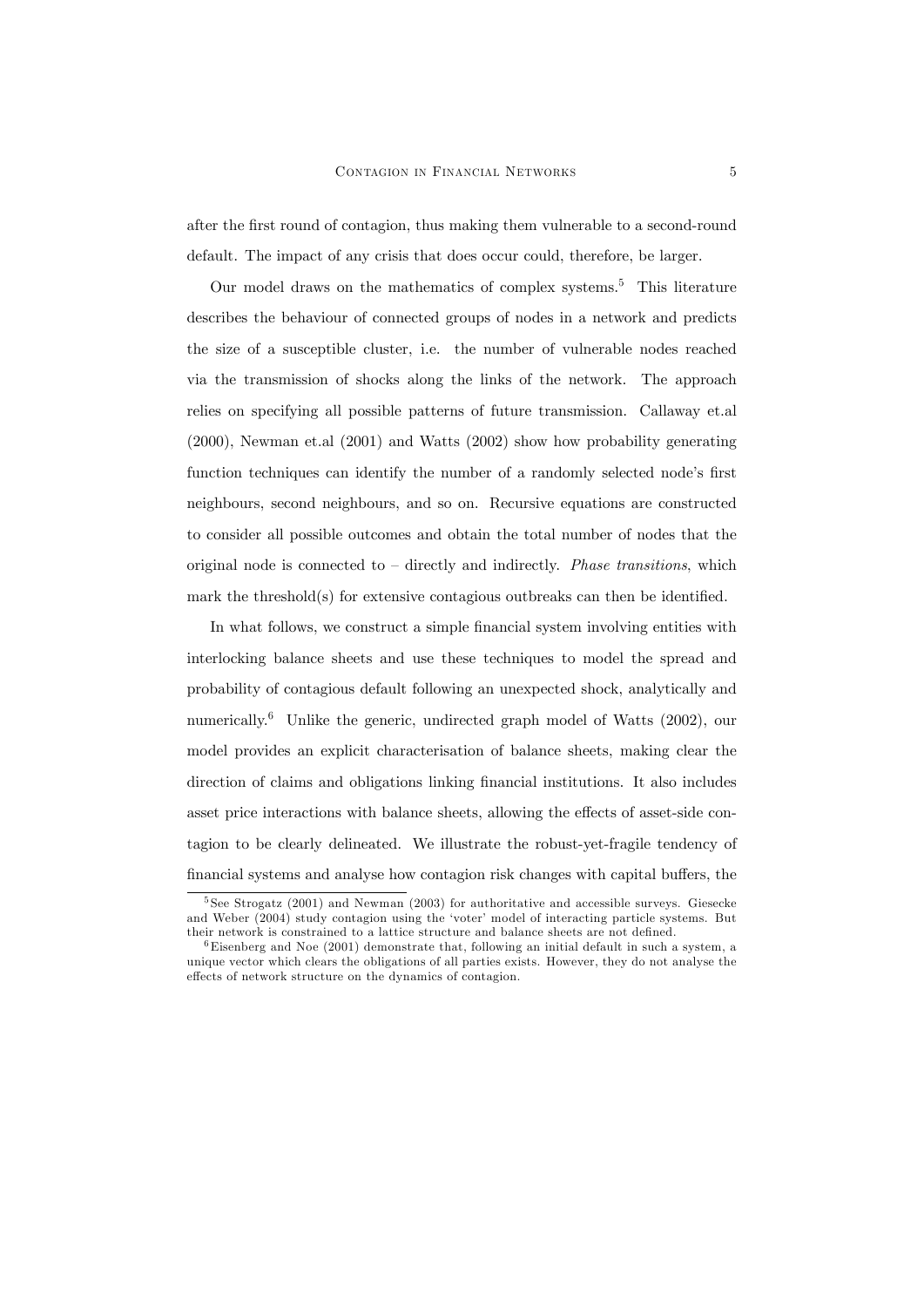after the Örst round of contagion, thus making them vulnerable to a second-round default. The impact of any crisis that does occur could, therefore, be larger.

Our model draws on the mathematics of complex systems.<sup>5</sup> This literature describes the behaviour of connected groups of nodes in a network and predicts the size of a susceptible cluster, i.e. the number of vulnerable nodes reached via the transmission of shocks along the links of the network. The approach relies on specifying all possible patterns of future transmission. Callaway et.al (2000), Newman et.al (2001) and Watts (2002) show how probability generating function techniques can identify the number of a randomly selected node's first neighbours, second neighbours, and so on. Recursive equations are constructed to consider all possible outcomes and obtain the total number of nodes that the original node is connected to  $\overline{\phantom{a}}$  directly and indirectly. *Phase transitions*, which mark the threshold(s) for extensive contagious outbreaks can then be identified.

In what follows, we construct a simple financial system involving entities with interlocking balance sheets and use these techniques to model the spread and probability of contagious default following an unexpected shock, analytically and numerically.<sup>6</sup> Unlike the generic, undirected graph model of Watts  $(2002)$ , our model provides an explicit characterisation of balance sheets, making clear the direction of claims and obligations linking financial institutions. It also includes asset price interactions with balance sheets, allowing the effects of asset-side contagion to be clearly delineated. We illustrate the robust-yet-fragile tendency of financial systems and analyse how contagion risk changes with capital buffers, the

<sup>5</sup> See Strogatz (2001) and Newman (2003) for authoritative and accessible surveys. Giesecke and Weber (2004) study contagion using the 'voter' model of interacting particle systems. But their network is constrained to a lattice structure and balance sheets are not defined.

 $6$ Eisenberg and Noe (2001) demonstrate that, following an initial default in such a system, a unique vector which clears the obligations of all parties exists. However, they do not analyse the effects of network structure on the dynamics of contagion.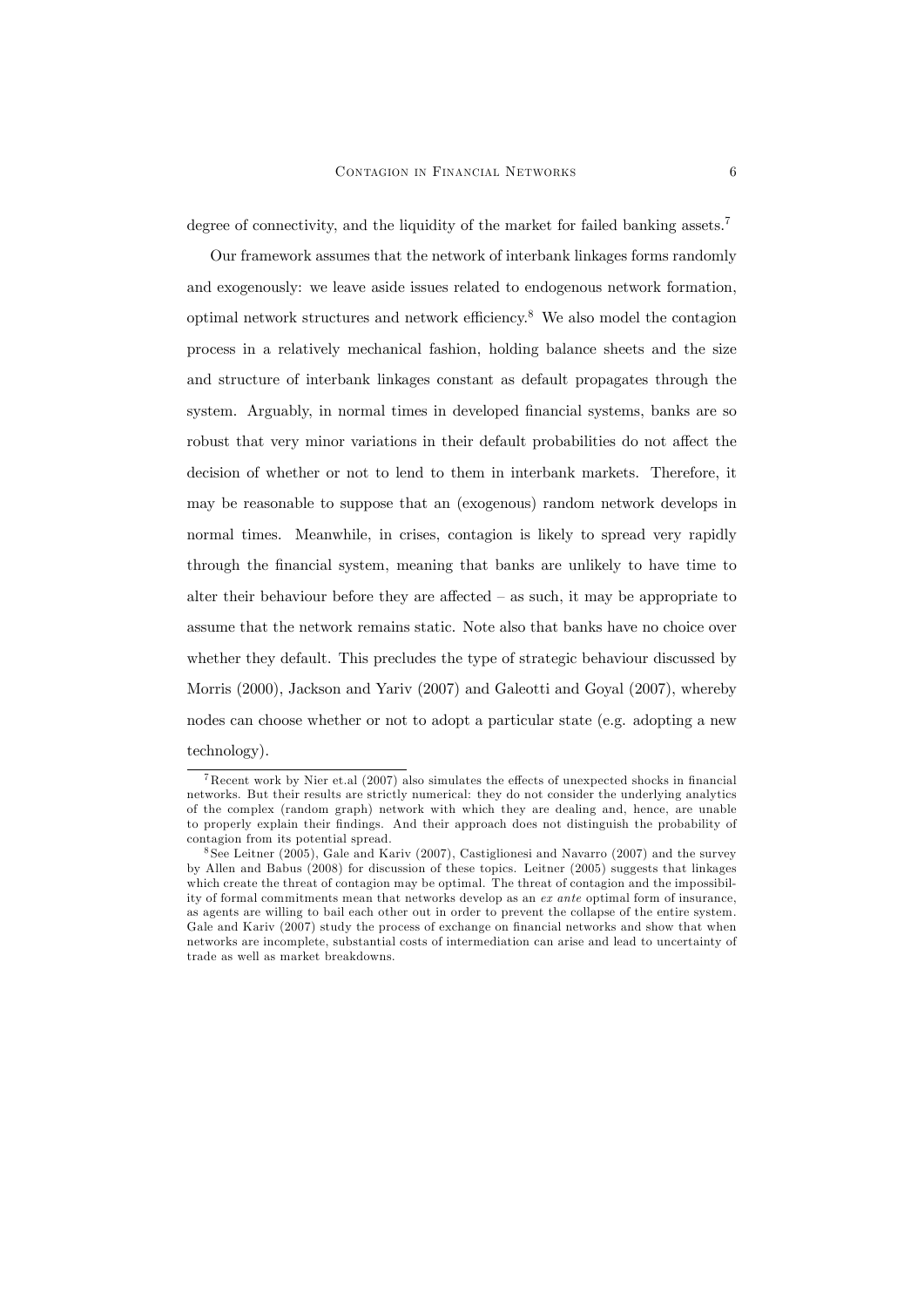degree of connectivity, and the liquidity of the market for failed banking assets.<sup>7</sup>

Our framework assumes that the network of interbank linkages forms randomly and exogenously: we leave aside issues related to endogenous network formation, optimal network structures and network efficiency.<sup>8</sup> We also model the contagion process in a relatively mechanical fashion, holding balance sheets and the size and structure of interbank linkages constant as default propagates through the system. Arguably, in normal times in developed financial systems, banks are so robust that very minor variations in their default probabilities do not affect the decision of whether or not to lend to them in interbank markets. Therefore, it may be reasonable to suppose that an (exogenous) random network develops in normal times. Meanwhile, in crises, contagion is likely to spread very rapidly through the Önancial system, meaning that banks are unlikely to have time to alter their behaviour before they are affected  $-$  as such, it may be appropriate to assume that the network remains static. Note also that banks have no choice over whether they default. This precludes the type of strategic behaviour discussed by Morris (2000), Jackson and Yariv (2007) and Galeotti and Goyal (2007), whereby nodes can choose whether or not to adopt a particular state (e.g. adopting a new technology).

<sup>&</sup>lt;sup>7</sup>Recent work by Nier et.al (2007) also simulates the effects of unexpected shocks in financial networks. But their results are strictly numerical: they do not consider the underlying analytics of the complex (random graph) network with which they are dealing and, hence, are unable to properly explain their findings. And their approach does not distinguish the probability of contagion from its potential spread.

<sup>8</sup> See Leitner (2005), Gale and Kariv (2007), Castiglionesi and Navarro (2007) and the survey by Allen and Babus (2008) for discussion of these topics. Leitner (2005) suggests that linkages which create the threat of contagion may be optimal. The threat of contagion and the impossibility of formal commitments mean that networks develop as an ex ante optimal form of insurance, as agents are willing to bail each other out in order to prevent the collapse of the entire system. Gale and Kariv (2007) study the process of exchange on financial networks and show that when networks are incomplete, substantial costs of intermediation can arise and lead to uncertainty of trade as well as market breakdowns.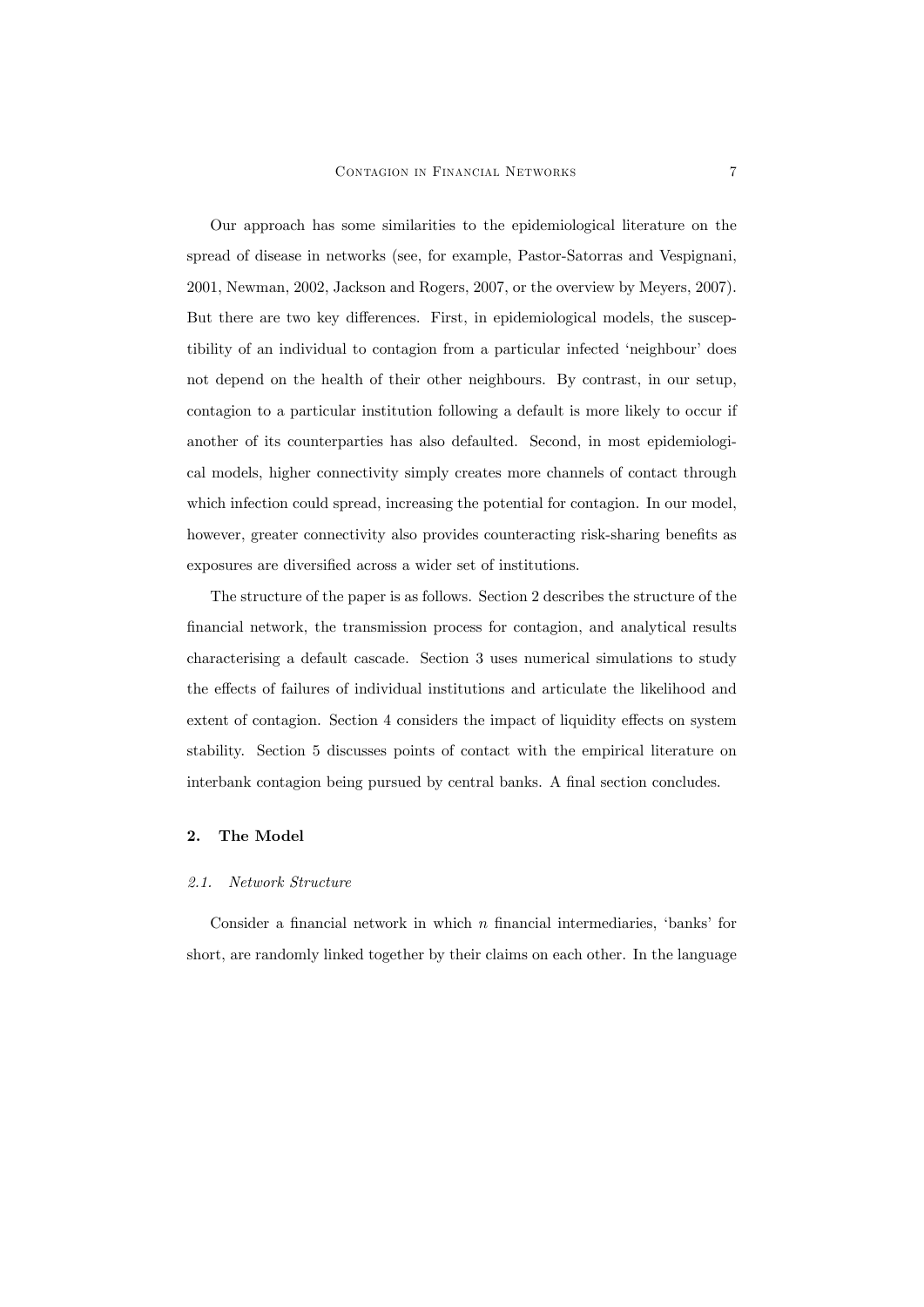Our approach has some similarities to the epidemiological literature on the spread of disease in networks (see, for example, Pastor-Satorras and Vespignani, 2001, Newman, 2002, Jackson and Rogers, 2007, or the overview by Meyers, 2007). But there are two key differences. First, in epidemiological models, the susceptibility of an individual to contagion from a particular infected 'neighbour' does not depend on the health of their other neighbours. By contrast, in our setup, contagion to a particular institution following a default is more likely to occur if another of its counterparties has also defaulted. Second, in most epidemiological models, higher connectivity simply creates more channels of contact through which infection could spread, increasing the potential for contagion. In our model, however, greater connectivity also provides counteracting risk-sharing benefits as exposures are diversified across a wider set of institutions.

The structure of the paper is as follows. Section 2 describes the structure of the Önancial network, the transmission process for contagion, and analytical results characterising a default cascade. Section 3 uses numerical simulations to study the effects of failures of individual institutions and articulate the likelihood and extent of contagion. Section 4 considers the impact of liquidity effects on system stability. Section 5 discusses points of contact with the empirical literature on interbank contagion being pursued by central banks. A final section concludes.

## 2. The Model

#### 2.1. Network Structure

Consider a financial network in which  $n$  financial intermediaries, 'banks' for short, are randomly linked together by their claims on each other. In the language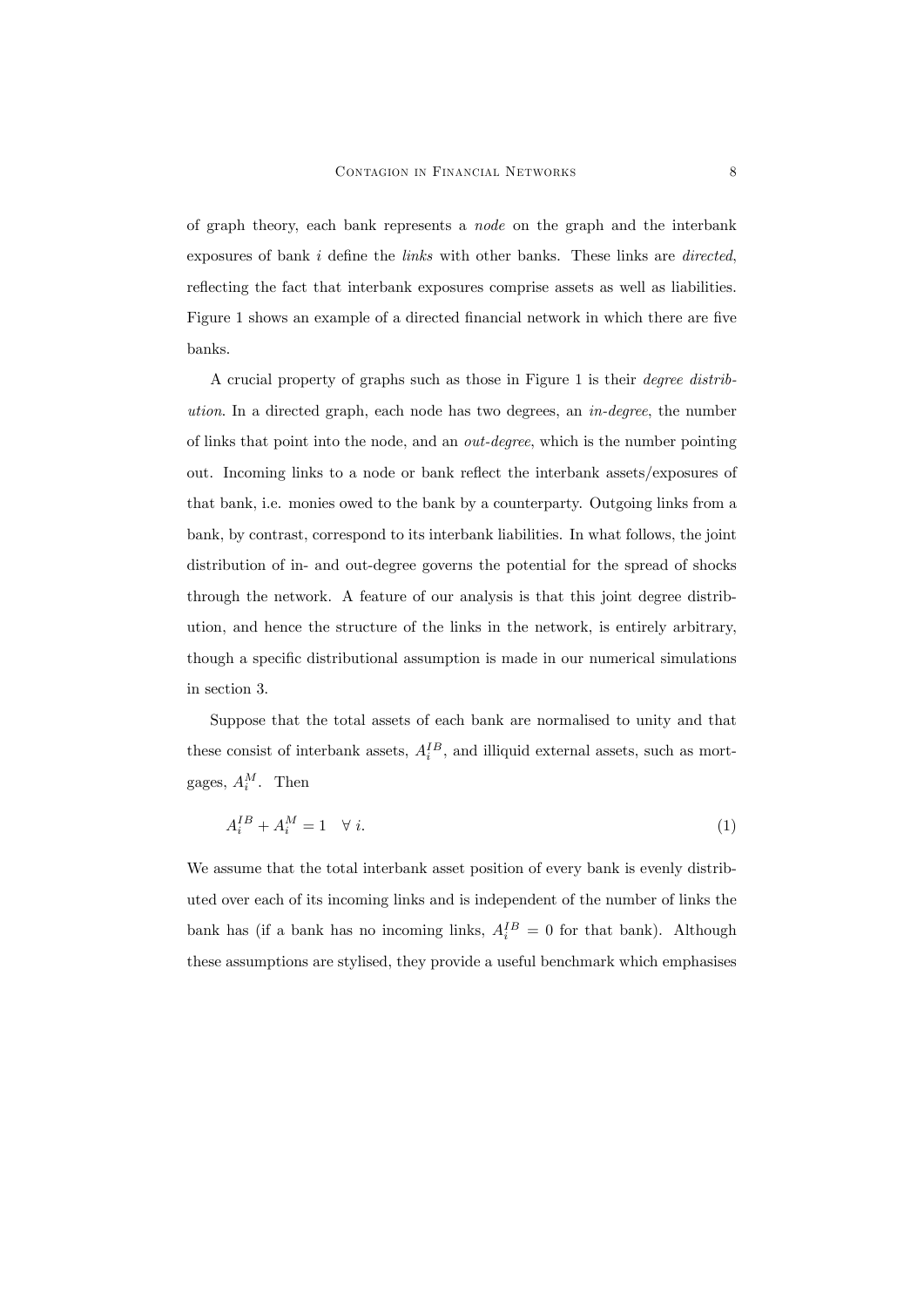of graph theory, each bank represents a node on the graph and the interbank exposures of bank  $i$  define the *links* with other banks. These links are *directed*, reflecting the fact that interbank exposures comprise assets as well as liabilities. Figure 1 shows an example of a directed financial network in which there are five banks.

A crucial property of graphs such as those in Figure 1 is their degree distribution. In a directed graph, each node has two degrees, an in-degree, the number of links that point into the node, and an out-degree, which is the number pointing out. Incoming links to a node or bank reflect the interbank assets/exposures of that bank, i.e. monies owed to the bank by a counterparty. Outgoing links from a bank, by contrast, correspond to its interbank liabilities. In what follows, the joint distribution of in- and out-degree governs the potential for the spread of shocks through the network. A feature of our analysis is that this joint degree distribution, and hence the structure of the links in the network, is entirely arbitrary, though a specific distributional assumption is made in our numerical simulations in section 3.

Suppose that the total assets of each bank are normalised to unity and that these consist of interbank assets,  $A_i^{IB}$ , and illiquid external assets, such as mortgages,  $A_i^M$ . Then

$$
A_i^{IB} + A_i^M = 1 \quad \forall \ i. \tag{1}
$$

We assume that the total interbank asset position of every bank is evenly distributed over each of its incoming links and is independent of the number of links the bank has (if a bank has no incoming links,  $A_i^{IB} = 0$  for that bank). Although these assumptions are stylised, they provide a useful benchmark which emphasises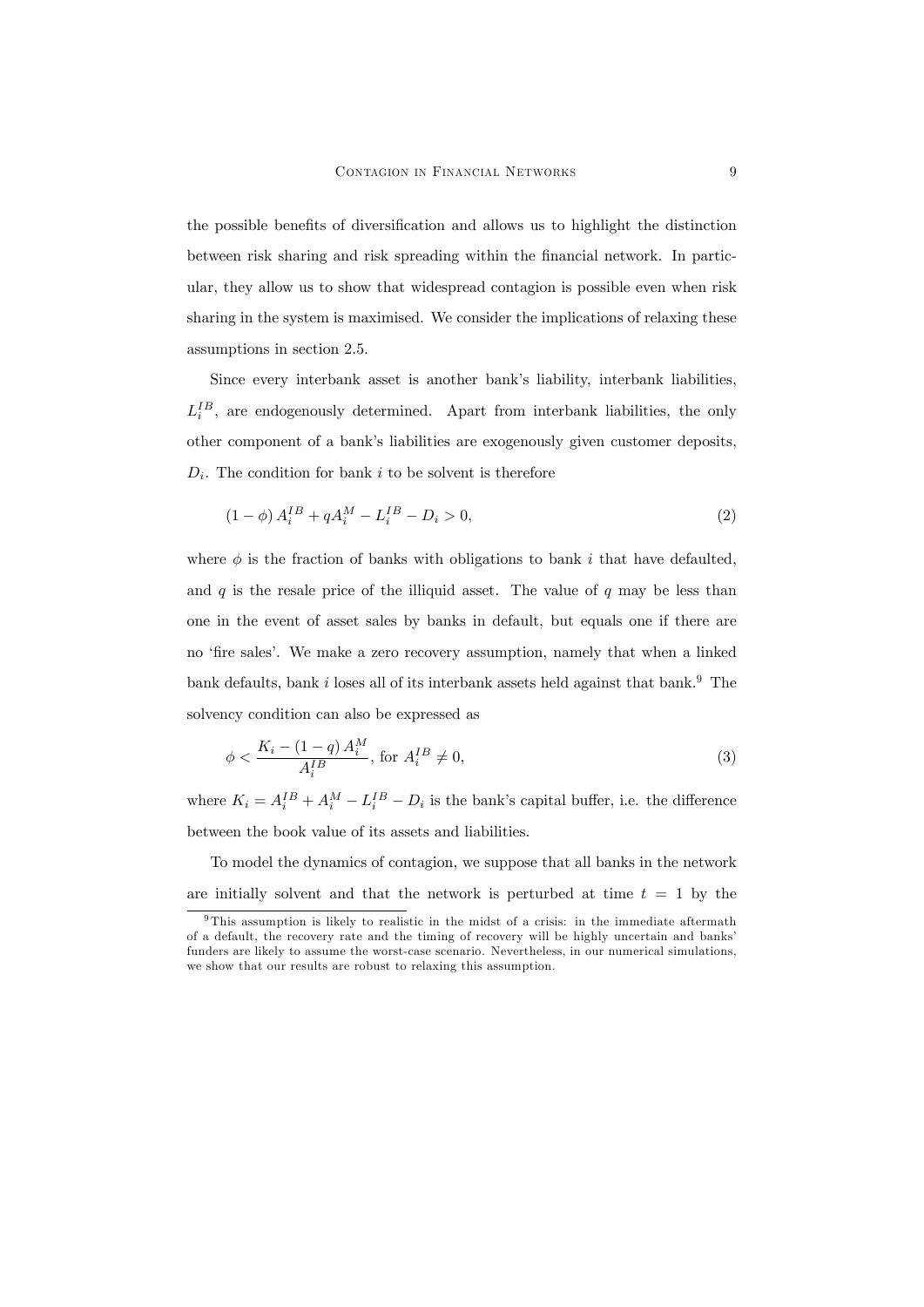the possible benefits of diversification and allows us to highlight the distinction between risk sharing and risk spreading within the Önancial network. In particular, they allow us to show that widespread contagion is possible even when risk sharing in the system is maximised. We consider the implications of relaxing these assumptions in section 2.5.

Since every interbank asset is another bank's liability, interbank liabilities,  $L_i^{IB}$ , are endogenously determined. Apart from interbank liabilities, the only other component of a bank's liabilities are exogenously given customer deposits,  $D_i$ . The condition for bank i to be solvent is therefore

$$
(1 - \phi) A_i^{IB} + q A_i^M - L_i^{IB} - D_i > 0,
$$
\n(2)

where  $\phi$  is the fraction of banks with obligations to bank i that have defaulted, and q is the resale price of the illiquid asset. The value of  $q$  may be less than one in the event of asset sales by banks in default, but equals one if there are no 'fire sales'. We make a zero recovery assumption, namely that when a linked bank defaults, bank i loses all of its interbank assets held against that bank.<sup>9</sup> The solvency condition can also be expressed as

$$
\phi < \frac{K_i - (1 - q) A_i^M}{A_i^B}, \text{ for } A_i^B \neq 0,\tag{3}
$$

where  $K_i = A_i^{IB} + A_i^M - L_i^{IB} - D_i$  is the bank's capital buffer, i.e. the difference between the book value of its assets and liabilities.

To model the dynamics of contagion, we suppose that all banks in the network are initially solvent and that the network is perturbed at time  $t = 1$  by the

<sup>&</sup>lt;sup>9</sup>This assumption is likely to realistic in the midst of a crisis: in the immediate aftermath of a default, the recovery rate and the timing of recovery will be highly uncertain and banks' funders are likely to assume the worst-case scenario. Nevertheless, in our numerical simulations, we show that our results are robust to relaxing this assumption.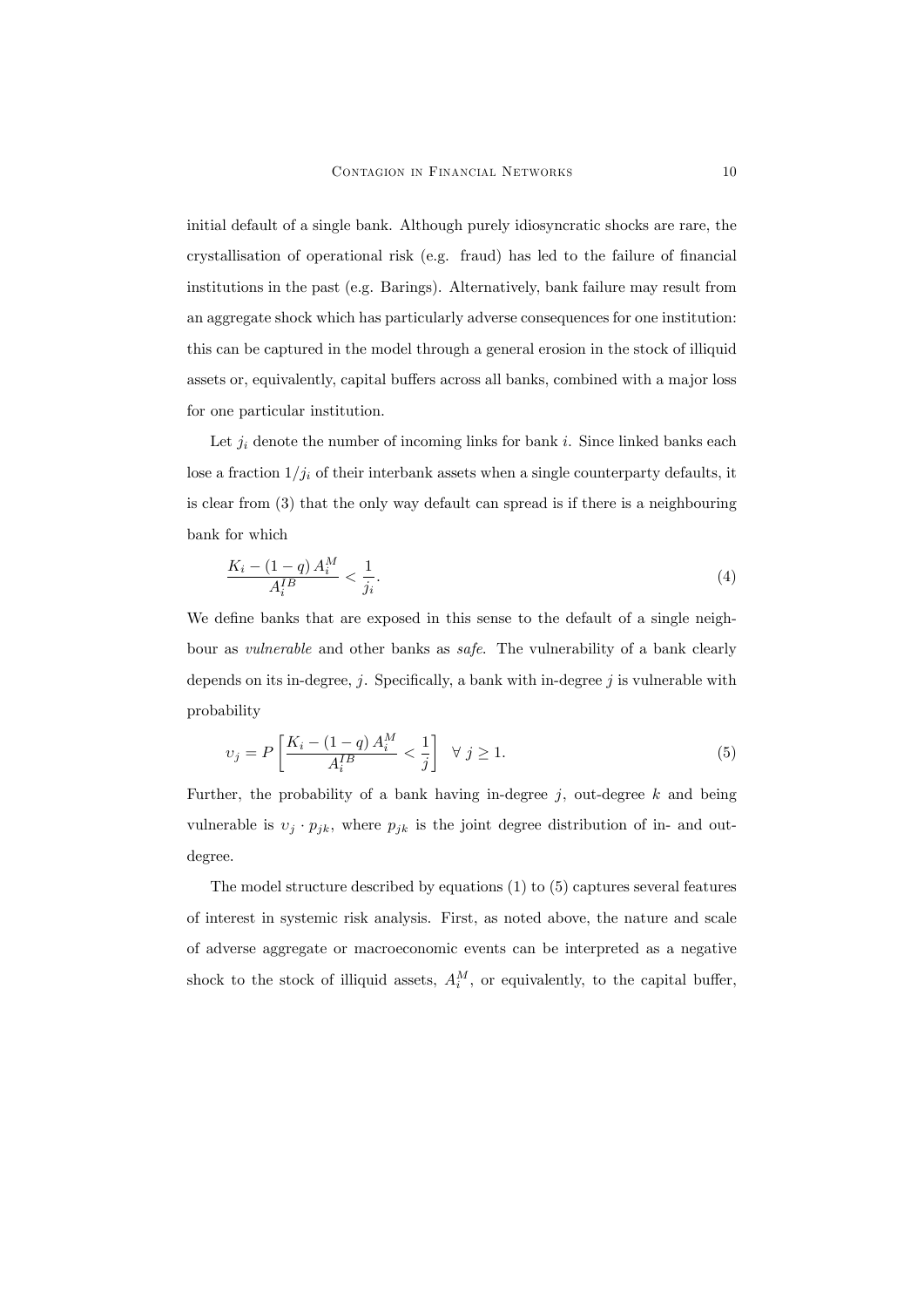initial default of a single bank. Although purely idiosyncratic shocks are rare, the crystallisation of operational risk (e.g. fraud) has led to the failure of financial institutions in the past (e.g. Barings). Alternatively, bank failure may result from an aggregate shock which has particularly adverse consequences for one institution: this can be captured in the model through a general erosion in the stock of illiquid assets or, equivalently, capital buffers across all banks, combined with a major loss for one particular institution.

Let  $j_i$  denote the number of incoming links for bank i. Since linked banks each lose a fraction  $1/j_i$  of their interbank assets when a single counterparty defaults, it is clear from (3) that the only way default can spread is if there is a neighbouring bank for which

$$
\frac{K_i - (1 - q)A_i^M}{A_i^{IB}} < \frac{1}{j_i}.\tag{4}
$$

We define banks that are exposed in this sense to the default of a single neighbour as vulnerable and other banks as safe. The vulnerability of a bank clearly depends on its in-degree,  $j$ . Specifically, a bank with in-degree j is vulnerable with probability

$$
v_j = P\left[\frac{K_i - (1 - q)A_i^M}{A_i^B} < \frac{1}{j}\right] \quad \forall \ j \ge 1. \tag{5}
$$

Further, the probability of a bank having in-degree  $j$ , out-degree  $k$  and being vulnerable is  $v_j \cdot p_{jk}$ , where  $p_{jk}$  is the joint degree distribution of in- and outdegree.

The model structure described by equations (1) to (5) captures several features of interest in systemic risk analysis. First, as noted above, the nature and scale of adverse aggregate or macroeconomic events can be interpreted as a negative shock to the stock of illiquid assets,  $A_i^M$ , or equivalently, to the capital buffer,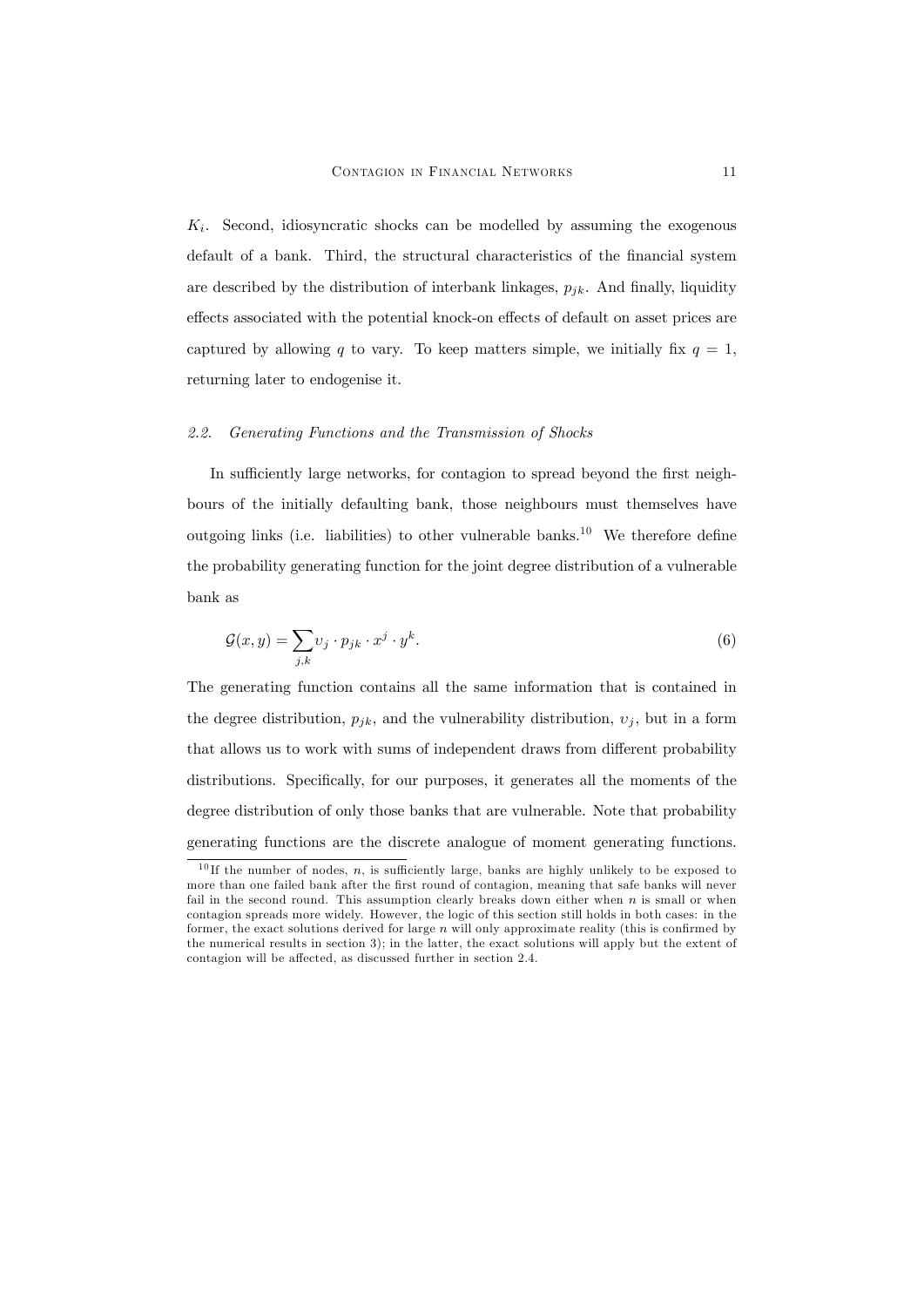$K_i$ . Second, idiosyncratic shocks can be modelled by assuming the exogenous default of a bank. Third, the structural characteristics of the financial system are described by the distribution of interbank linkages,  $p_{jk}$ . And finally, liquidity effects associated with the potential knock-on effects of default on asset prices are captured by allowing q to vary. To keep matters simple, we initially fix  $q = 1$ , returning later to endogenise it.

#### 2.2. Generating Functions and the Transmission of Shocks

In sufficiently large networks, for contagion to spread beyond the first neighbours of the initially defaulting bank, those neighbours must themselves have outgoing links (i.e. liabilities) to other vulnerable banks.<sup>10</sup> We therefore define the probability generating function for the joint degree distribution of a vulnerable bank as

$$
\mathcal{G}(x,y) = \sum_{j,k} v_j \cdot p_{jk} \cdot x^j \cdot y^k. \tag{6}
$$

The generating function contains all the same information that is contained in the degree distribution,  $p_{jk}$ , and the vulnerability distribution,  $v_j$ , but in a form that allows us to work with sums of independent draws from different probability distributions. Specifically, for our purposes, it generates all the moments of the degree distribution of only those banks that are vulnerable. Note that probability generating functions are the discrete analogue of moment generating functions.

<sup>&</sup>lt;sup>10</sup> If the number of nodes, n, is sufficiently large, banks are highly unlikely to be exposed to more than one failed bank after the first round of contagion, meaning that safe banks will never fail in the second round. This assumption clearly breaks down either when  $n$  is small or when contagion spreads more widely. However, the logic of this section still holds in both cases: in the former, the exact solutions derived for large  $n$  will only approximate reality (this is confirmed by the numerical results in section 3); in the latter, the exact solutions will apply but the extent of contagion will be affected, as discussed further in section 2.4.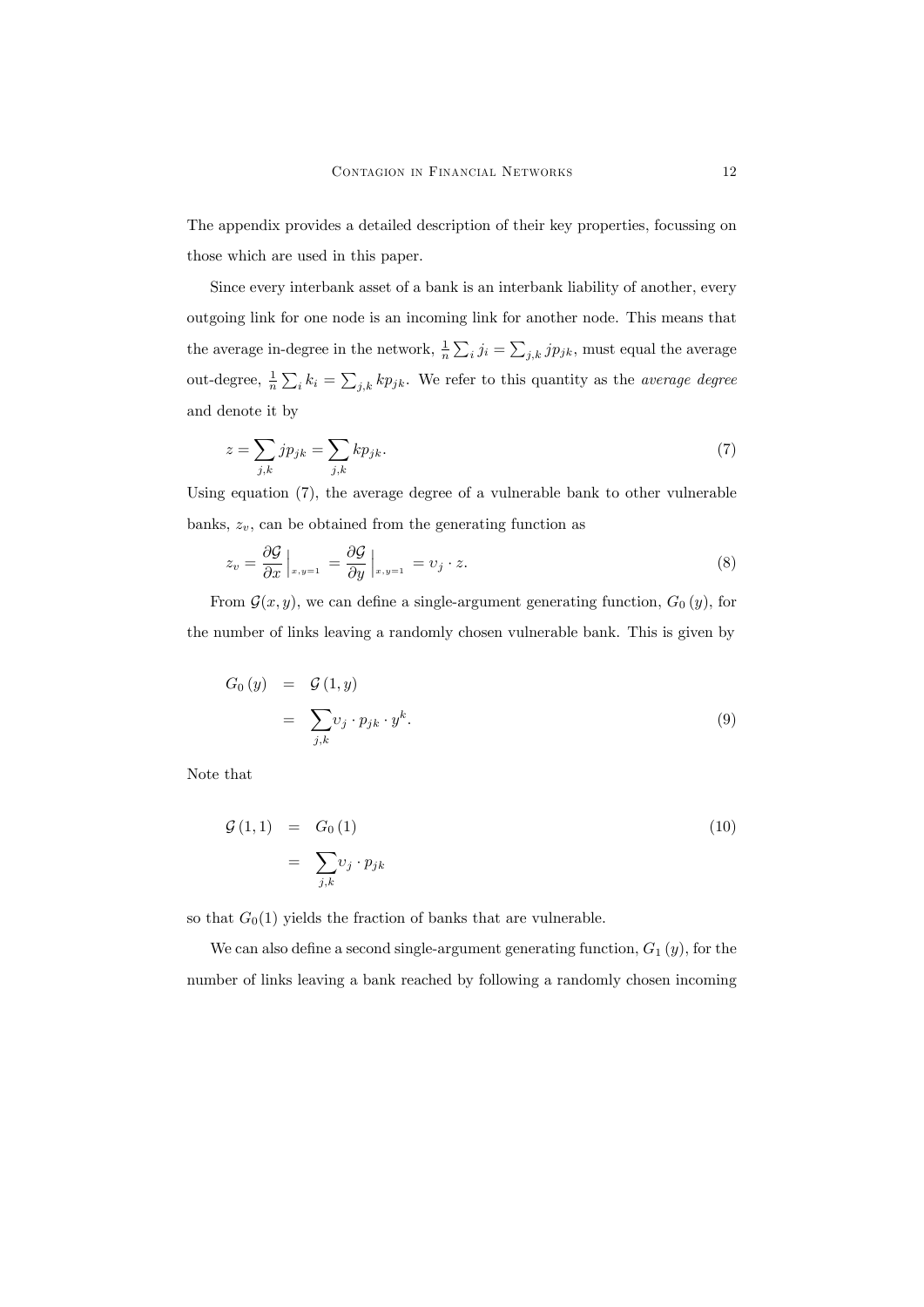The appendix provides a detailed description of their key properties, focussing on those which are used in this paper.

Since every interbank asset of a bank is an interbank liability of another, every outgoing link for one node is an incoming link for another node. This means that the average in-degree in the network,  $\frac{1}{n} \sum_i j_i = \sum_{j,k} j p_{jk}$ , must equal the average out-degree,  $\frac{1}{n} \sum_i k_i = \sum_{j,k} k p_{jk}$ . We refer to this quantity as the *average degree* and denote it by

$$
z = \sum_{j,k} j p_{jk} = \sum_{j,k} k p_{jk}.\tag{7}
$$

Using equation (7), the average degree of a vulnerable bank to other vulnerable banks,  $z_v$ , can be obtained from the generating function as

$$
z_v = \frac{\partial \mathcal{G}}{\partial x}\Big|_{x,y=1} = \frac{\partial \mathcal{G}}{\partial y}\Big|_{x,y=1} = v_j \cdot z. \tag{8}
$$

From  $\mathcal{G}(x, y)$ , we can define a single-argument generating function,  $G_0(y)$ , for the number of links leaving a randomly chosen vulnerable bank. This is given by

$$
G_0(y) = \mathcal{G}(1, y)
$$
  
= 
$$
\sum_{j,k} v_j \cdot p_{jk} \cdot y^k.
$$
 (9)

Note that

$$
\mathcal{G}(1,1) = G_0(1)
$$
\n
$$
= \sum_{j,k} v_j \cdot p_{jk} \tag{10}
$$

so that  $G_0(1)$  yields the fraction of banks that are vulnerable.

We can also define a second single-argument generating function,  $G_1(y)$ , for the number of links leaving a bank reached by following a randomly chosen incoming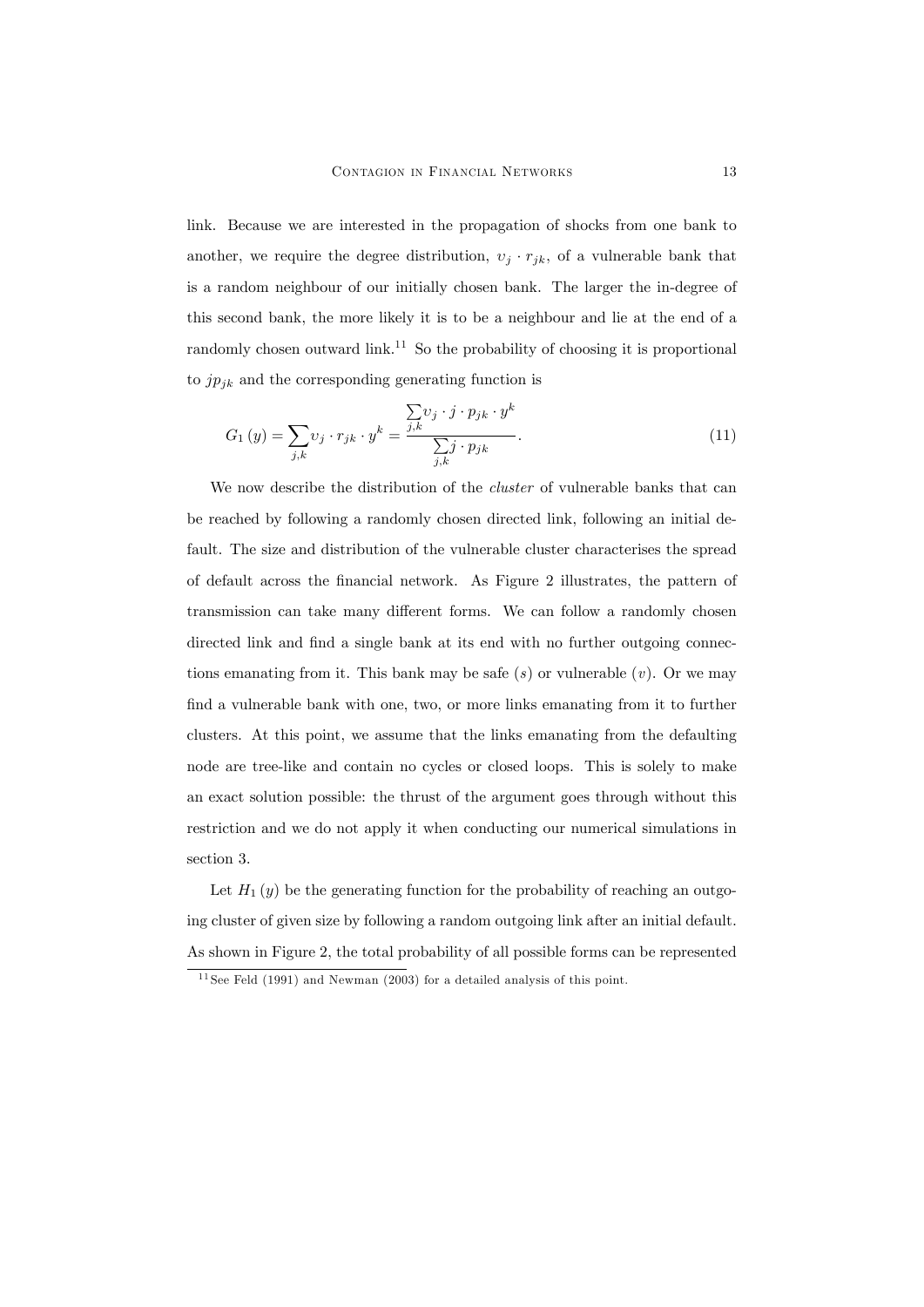link. Because we are interested in the propagation of shocks from one bank to another, we require the degree distribution,  $v_j \cdot r_{jk}$ , of a vulnerable bank that is a random neighbour of our initially chosen bank. The larger the in-degree of this second bank, the more likely it is to be a neighbour and lie at the end of a randomly chosen outward link.<sup>11</sup> So the probability of choosing it is proportional to  $jp_{jk}$  and the corresponding generating function is

$$
G_1(y) = \sum_{j,k} v_j \cdot r_{jk} \cdot y^k = \frac{\sum_{j,k} v_j \cdot j \cdot p_{jk} \cdot y^k}{\sum_{j,k} j \cdot p_{jk}}.
$$
\n(11)

We now describe the distribution of the *cluster* of vulnerable banks that can be reached by following a randomly chosen directed link, following an initial default. The size and distribution of the vulnerable cluster characterises the spread of default across the Önancial network. As Figure 2 illustrates, the pattern of transmission can take many different forms. We can follow a randomly chosen directed link and find a single bank at its end with no further outgoing connections emanating from it. This bank may be safe  $(s)$  or vulnerable  $(v)$ . Or we may find a vulnerable bank with one, two, or more links emanating from it to further clusters. At this point, we assume that the links emanating from the defaulting node are tree-like and contain no cycles or closed loops. This is solely to make an exact solution possible: the thrust of the argument goes through without this restriction and we do not apply it when conducting our numerical simulations in section 3.

Let  $H_1(y)$  be the generating function for the probability of reaching an outgoing cluster of given size by following a random outgoing link after an initial default. As shown in Figure 2, the total probability of all possible forms can be represented

 $11$  See Feld (1991) and Newman (2003) for a detailed analysis of this point.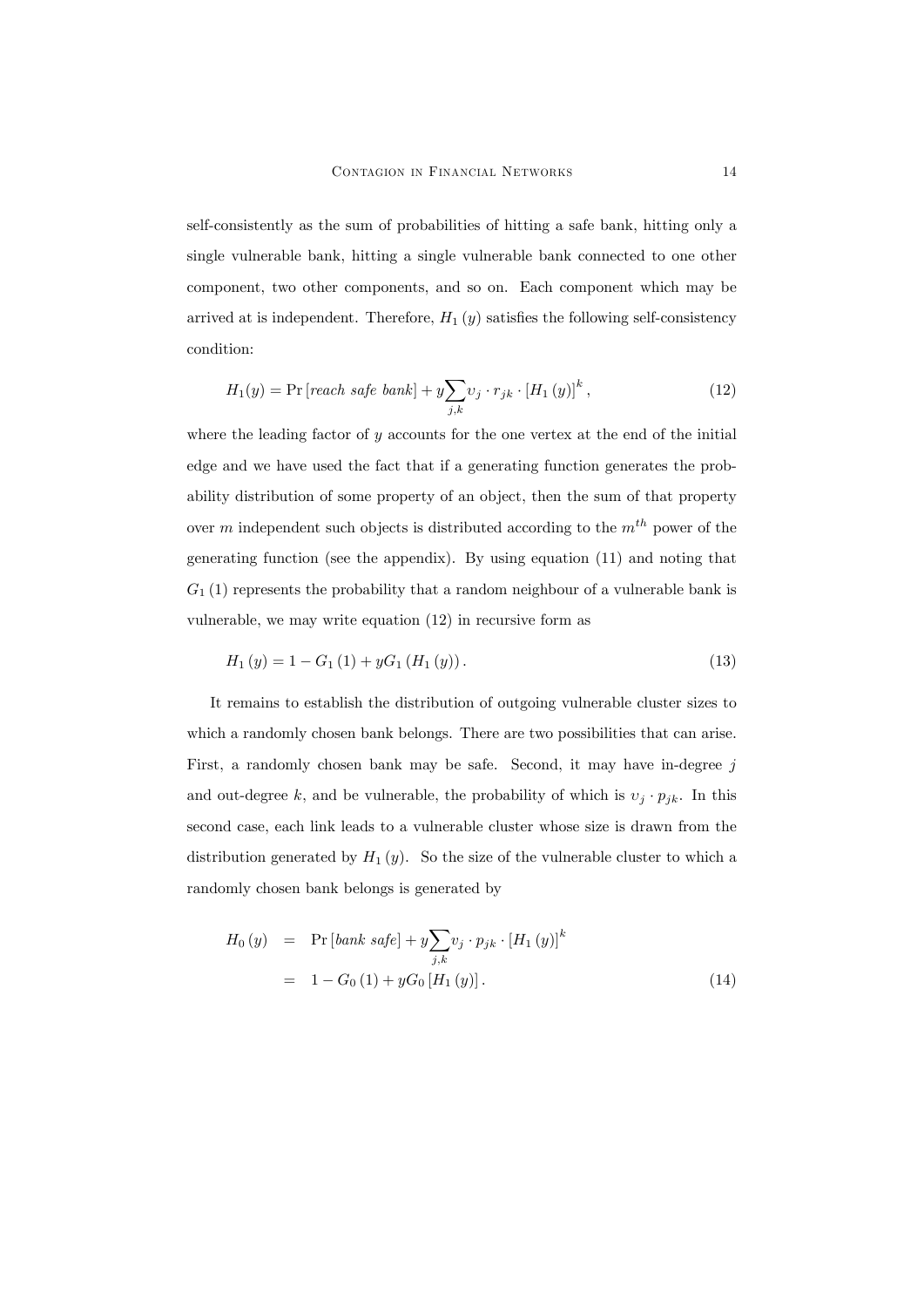self-consistently as the sum of probabilities of hitting a safe bank, hitting only a single vulnerable bank, hitting a single vulnerable bank connected to one other component, two other components, and so on. Each component which may be arrived at is independent. Therefore,  $H_1(y)$  satisfies the following self-consistency condition:

$$
H_1(y) = \Pr\left[reach\ safe\ bank\right] + y\sum_{j,k} \upsilon_j \cdot r_{jk} \cdot \left[H_1\left(y\right)\right]^k,\tag{12}
$$

where the leading factor of  $y$  accounts for the one vertex at the end of the initial edge and we have used the fact that if a generating function generates the probability distribution of some property of an object, then the sum of that property over m independent such objects is distributed according to the  $m<sup>th</sup>$  power of the generating function (see the appendix). By using equation (11) and noting that  $G_1(1)$  represents the probability that a random neighbour of a vulnerable bank is vulnerable, we may write equation (12) in recursive form as

$$
H_1(y) = 1 - G_1(1) + yG_1(H_1(y)).
$$
\n(13)

It remains to establish the distribution of outgoing vulnerable cluster sizes to which a randomly chosen bank belongs. There are two possibilities that can arise. First, a randomly chosen bank may be safe. Second, it may have in-degree  $j$ and out-degree k, and be vulnerable, the probability of which is  $v_j \cdot p_{jk}$ . In this second case, each link leads to a vulnerable cluster whose size is drawn from the distribution generated by  $H_1(y)$ . So the size of the vulnerable cluster to which a randomly chosen bank belongs is generated by

$$
H_0(y) = \Pr[bank\; safe] + y \sum_{j,k} v_j \cdot p_{jk} \cdot [H_1(y)]^k
$$
  
= 1 - G<sub>0</sub>(1) + yG<sub>0</sub> [H<sub>1</sub>(y)]. (14)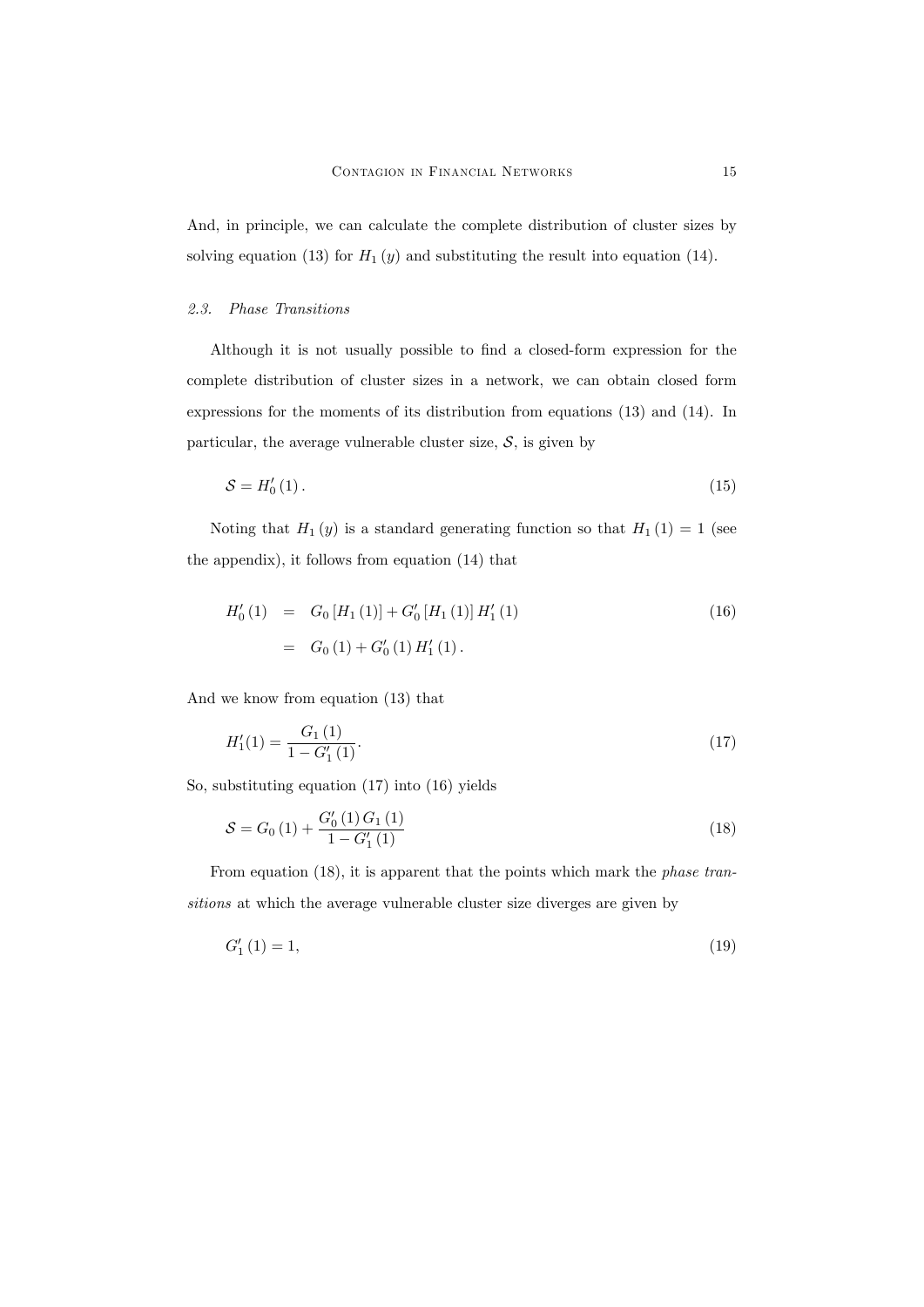And, in principle, we can calculate the complete distribution of cluster sizes by solving equation (13) for  $H_1(y)$  and substituting the result into equation (14).

## 2.3. Phase Transitions

Although it is not usually possible to find a closed-form expression for the complete distribution of cluster sizes in a network, we can obtain closed form expressions for the moments of its distribution from equations (13) and (14). In particular, the average vulnerable cluster size,  $S$ , is given by

$$
S = H_0'(1). \tag{15}
$$

Noting that  $H_1(y)$  is a standard generating function so that  $H_1(1) = 1$  (see the appendix), it follows from equation (14) that

$$
H'_{0}(1) = G_{0}[H_{1}(1)] + G'_{0}[H_{1}(1)]H'_{1}(1)
$$
\n
$$
= G_{0}(1) + G'_{0}(1)H'_{1}(1).
$$
\n(16)

And we know from equation (13) that

$$
H_1'(1) = \frac{G_1(1)}{1 - G_1'(1)}.\t(17)
$$

So, substituting equation (17) into (16) yields

$$
S = G_0(1) + \frac{G_0'(1) G_1(1)}{1 - G_1'(1)}
$$
\n(18)

From equation (18), it is apparent that the points which mark the *phase tran*sitions at which the average vulnerable cluster size diverges are given by

$$
G_1'(1) = 1,\t\t(19)
$$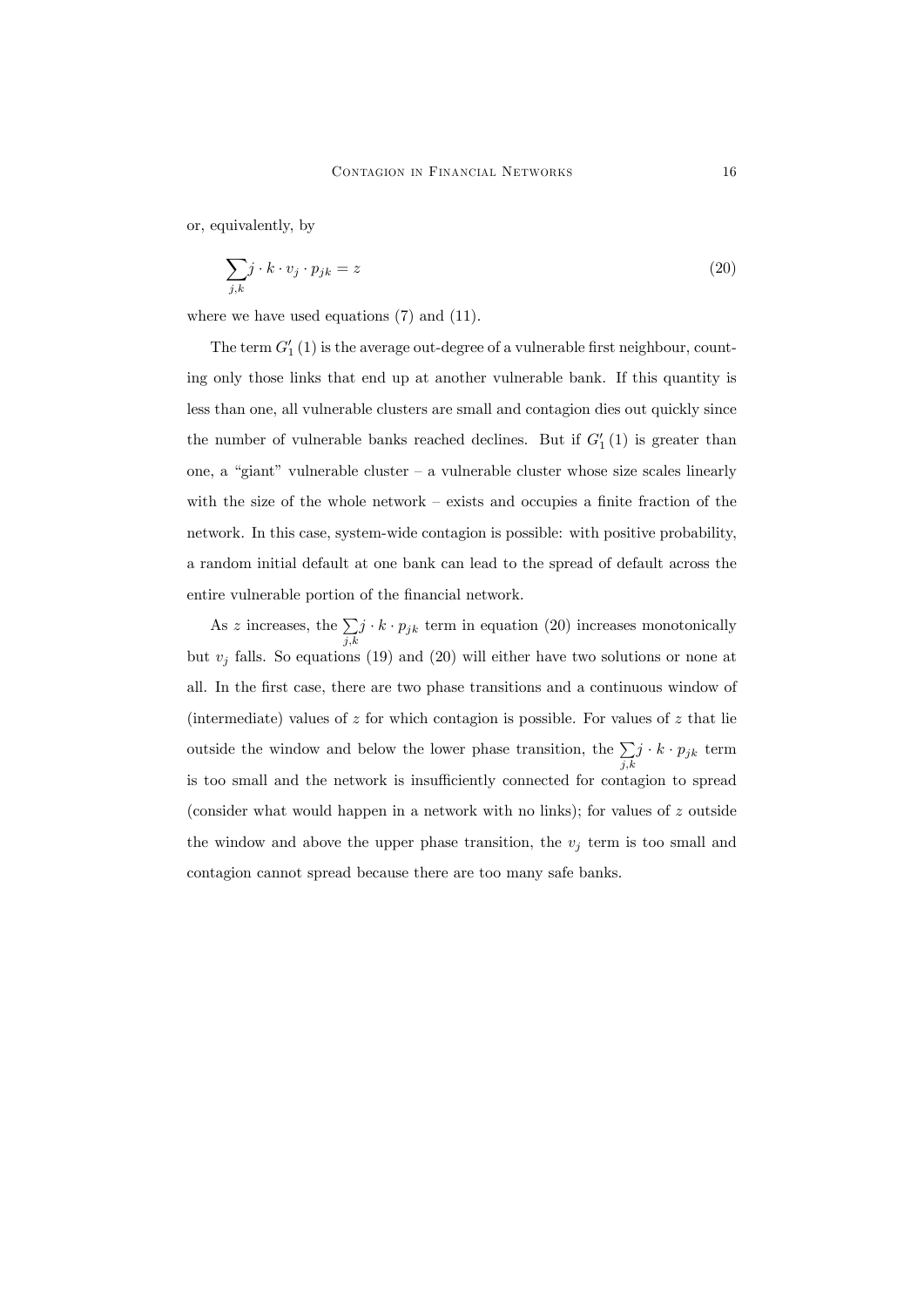or, equivalently, by

$$
\sum_{j,k} j \cdot k \cdot v_j \cdot p_{jk} = z \tag{20}
$$

where we have used equations  $(7)$  and  $(11)$ .

The term  $G'_{1}(1)$  is the average out-degree of a vulnerable first neighbour, counting only those links that end up at another vulnerable bank. If this quantity is less than one, all vulnerable clusters are small and contagion dies out quickly since the number of vulnerable banks reached declines. But if  $G'_{1}(1)$  is greater than one, a "giant" vulnerable cluster  $-$  a vulnerable cluster whose size scales linearly with the size of the whole network  $-$  exists and occupies a finite fraction of the network. In this case, system-wide contagion is possible: with positive probability, a random initial default at one bank can lead to the spread of default across the entire vulnerable portion of the financial network.

As z increases, the  $\sum$  $\sum_{j,k} j \cdot k \cdot p_{jk}$  term in equation (20) increases monotonically but  $v_i$  falls. So equations (19) and (20) will either have two solutions or none at all. In the Örst case, there are two phase transitions and a continuous window of (intermediate) values of  $z$  for which contagion is possible. For values of  $z$  that lie outside the window and below the lower phase transition, the  $\Sigma$  $\sum_{j,k} j \cdot k \cdot p_{jk}$  term is too small and the network is insufficiently connected for contagion to spread (consider what would happen in a network with no links); for values of  $z$  outside the window and above the upper phase transition, the  $v_i$  term is too small and contagion cannot spread because there are too many safe banks.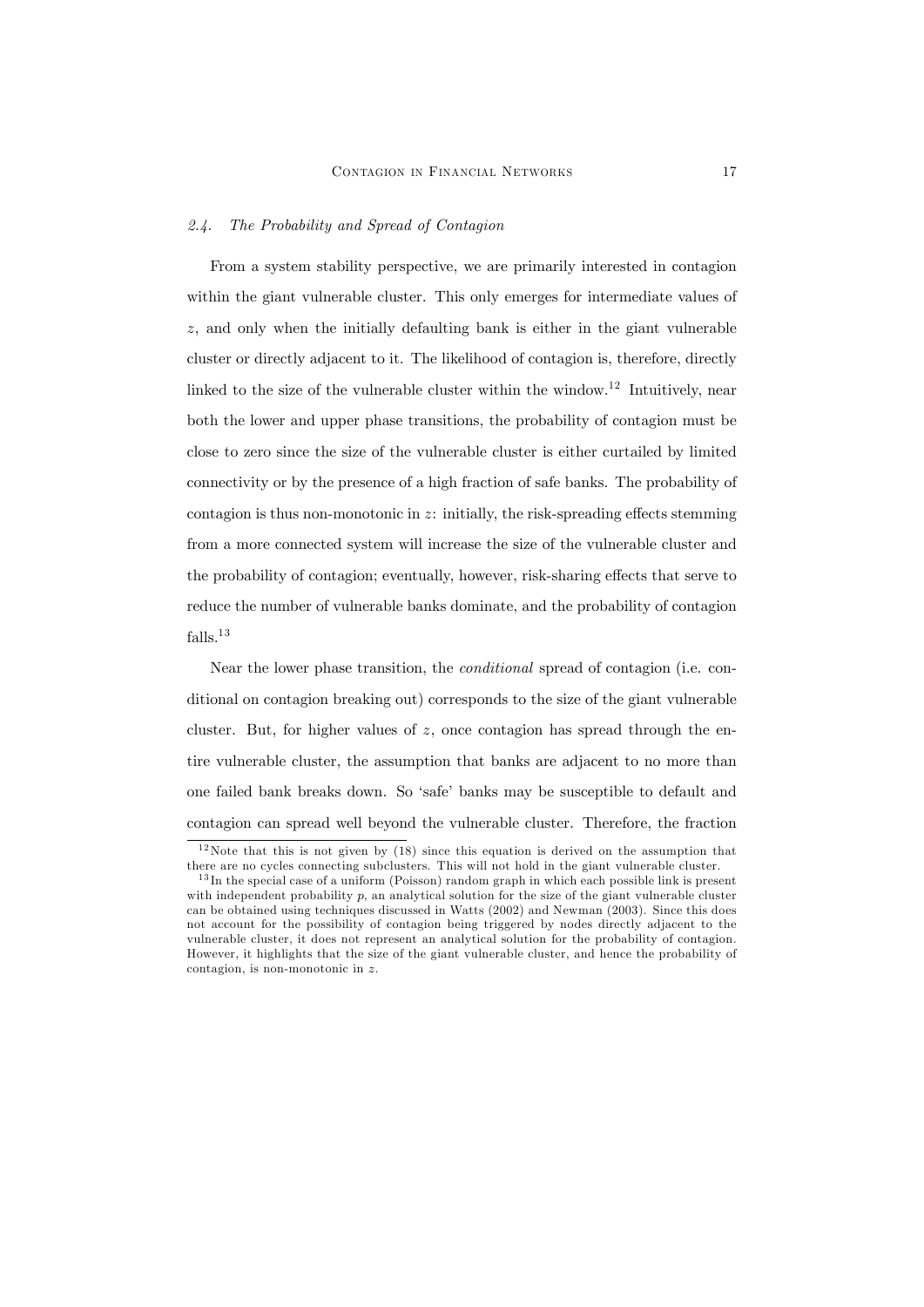#### 2.4. The Probability and Spread of Contagion

From a system stability perspective, we are primarily interested in contagion within the giant vulnerable cluster. This only emerges for intermediate values of z, and only when the initially defaulting bank is either in the giant vulnerable cluster or directly adjacent to it. The likelihood of contagion is, therefore, directly linked to the size of the vulnerable cluster within the window.<sup>12</sup> Intuitively, near both the lower and upper phase transitions, the probability of contagion must be close to zero since the size of the vulnerable cluster is either curtailed by limited connectivity or by the presence of a high fraction of safe banks. The probability of contagion is thus non-monotonic in  $z$ : initially, the risk-spreading effects stemming from a more connected system will increase the size of the vulnerable cluster and the probability of contagion; eventually, however, risk-sharing effects that serve to reduce the number of vulnerable banks dominate, and the probability of contagion falls.<sup>13</sup>

Near the lower phase transition, the conditional spread of contagion (i.e. conditional on contagion breaking out) corresponds to the size of the giant vulnerable cluster. But, for higher values of  $z$ , once contagion has spread through the entire vulnerable cluster, the assumption that banks are adjacent to no more than one failed bank breaks down. So 'safe' banks may be susceptible to default and contagion can spread well beyond the vulnerable cluster. Therefore, the fraction

 $12$  Note that this is not given by (18) since this equation is derived on the assumption that there are no cycles connecting subclusters. This will not hold in the giant vulnerable cluster.

 $13$  In the special case of a uniform (Poisson) random graph in which each possible link is present with independent probability  $p$ , an analytical solution for the size of the giant vulnerable cluster can be obtained using techniques discussed in Watts (2002) and Newman (2003). Since this does not account for the possibility of contagion being triggered by nodes directly adjacent to the vulnerable cluster, it does not represent an analytical solution for the probability of contagion. However, it highlights that the size of the giant vulnerable cluster, and hence the probability of contagion, is non-monotonic in z.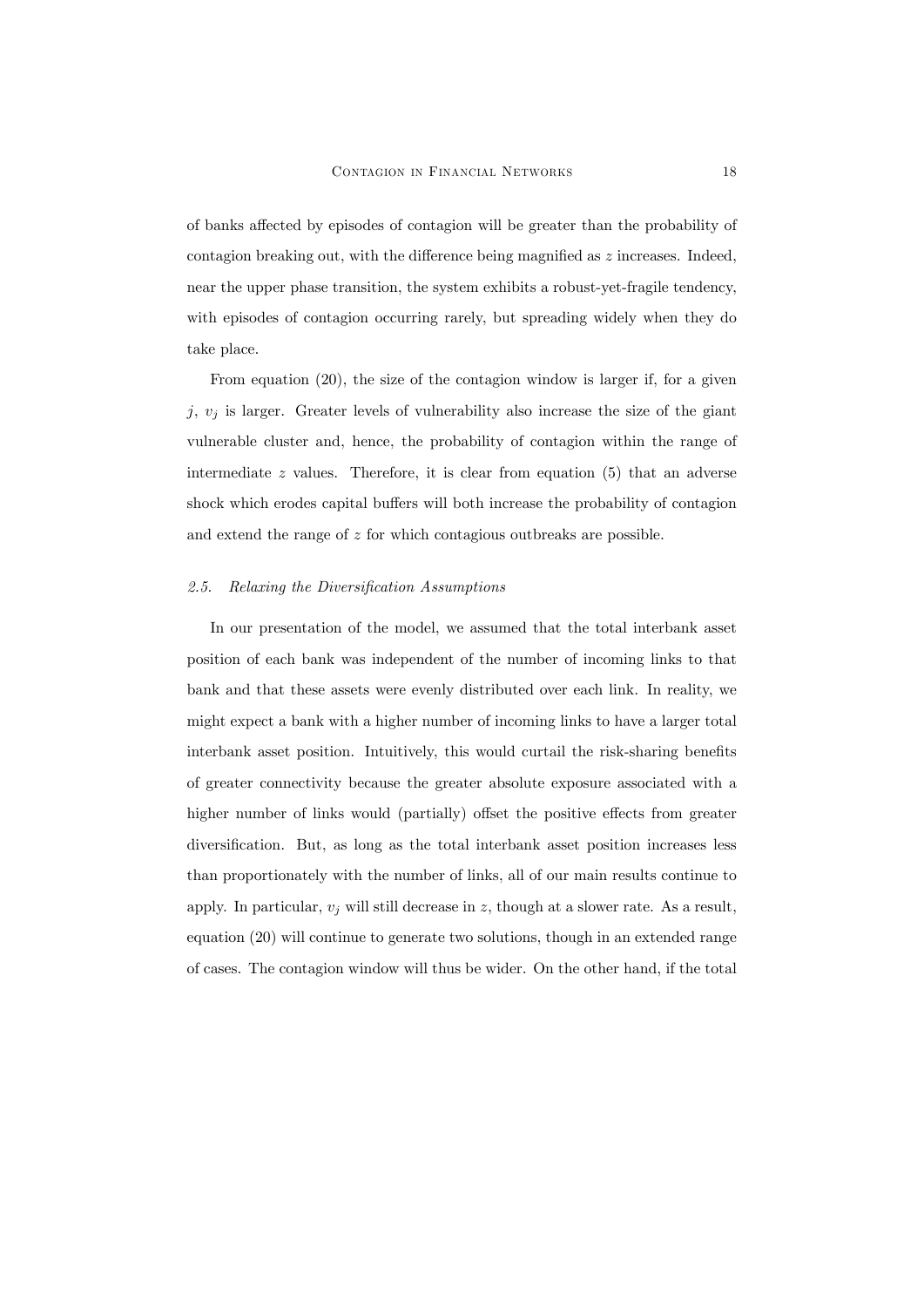of banks affected by episodes of contagion will be greater than the probability of contagion breaking out, with the difference being magnified as  $z$  increases. Indeed, near the upper phase transition, the system exhibits a robust-yet-fragile tendency, with episodes of contagion occurring rarely, but spreading widely when they do take place.

From equation (20), the size of the contagion window is larger if, for a given j,  $v_i$  is larger. Greater levels of vulnerability also increase the size of the giant vulnerable cluster and, hence, the probability of contagion within the range of intermediate  $z$  values. Therefore, it is clear from equation (5) that an adverse shock which erodes capital buffers will both increase the probability of contagion and extend the range of z for which contagious outbreaks are possible.

### 2.5. Relaxing the Diversification Assumptions

In our presentation of the model, we assumed that the total interbank asset position of each bank was independent of the number of incoming links to that bank and that these assets were evenly distributed over each link. In reality, we might expect a bank with a higher number of incoming links to have a larger total interbank asset position. Intuitively, this would curtail the risk-sharing benefits of greater connectivity because the greater absolute exposure associated with a higher number of links would (partially) offset the positive effects from greater diversification. But, as long as the total interbank asset position increases less than proportionately with the number of links, all of our main results continue to apply. In particular,  $v_j$  will still decrease in z, though at a slower rate. As a result, equation (20) will continue to generate two solutions, though in an extended range of cases. The contagion window will thus be wider. On the other hand, if the total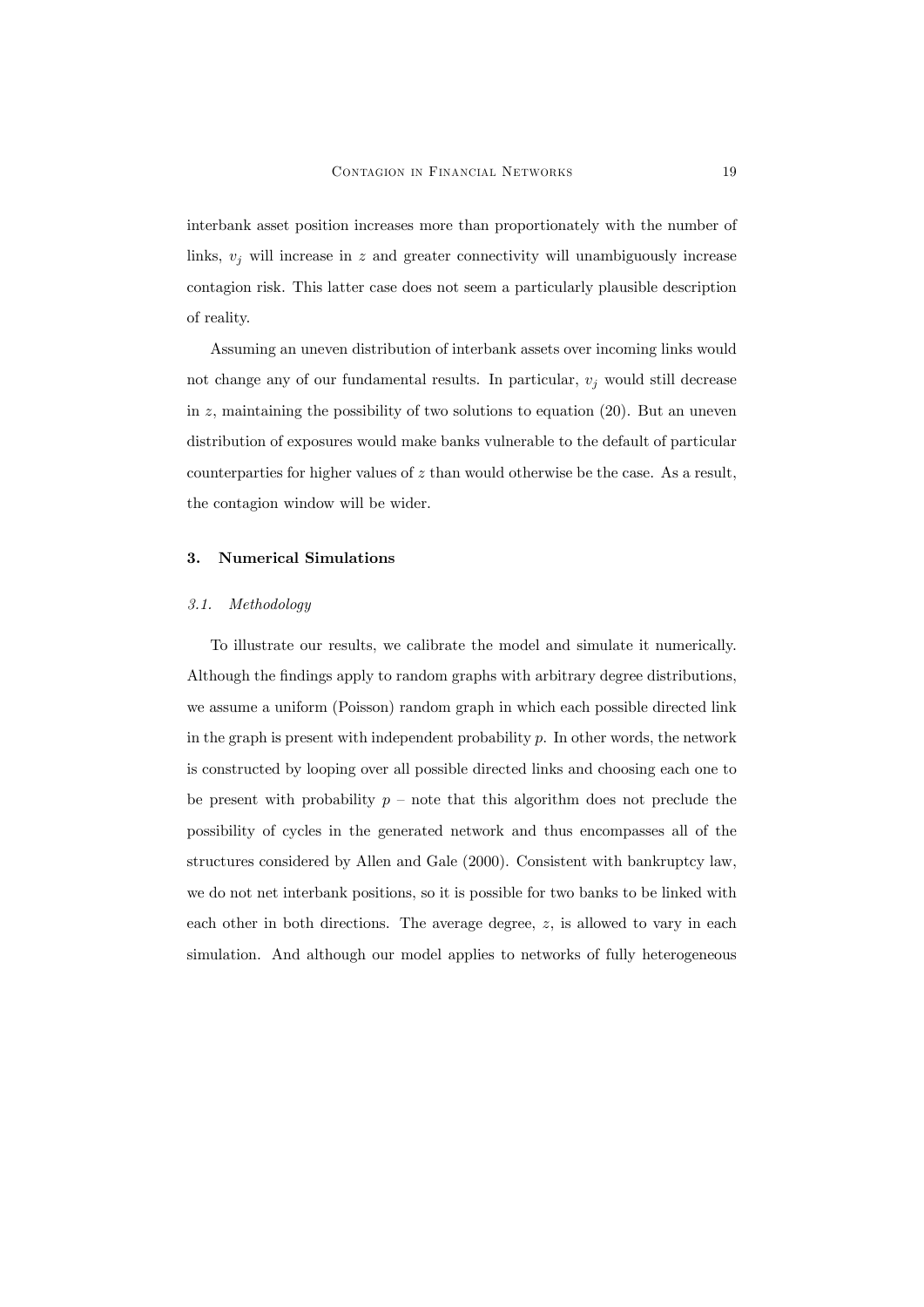interbank asset position increases more than proportionately with the number of links,  $v_i$  will increase in z and greater connectivity will unambiguously increase contagion risk. This latter case does not seem a particularly plausible description of reality.

Assuming an uneven distribution of interbank assets over incoming links would not change any of our fundamental results. In particular,  $v_j$  would still decrease in  $z$ , maintaining the possibility of two solutions to equation (20). But an uneven distribution of exposures would make banks vulnerable to the default of particular counterparties for higher values of  $z$  than would otherwise be the case. As a result, the contagion window will be wider.

## 3. Numerical Simulations

### 3.1. Methodology

To illustrate our results, we calibrate the model and simulate it numerically. Although the findings apply to random graphs with arbitrary degree distributions, we assume a uniform (Poisson) random graph in which each possible directed link in the graph is present with independent probability  $p$ . In other words, the network is constructed by looping over all possible directed links and choosing each one to be present with probability  $p$  – note that this algorithm does not preclude the possibility of cycles in the generated network and thus encompasses all of the structures considered by Allen and Gale (2000). Consistent with bankruptcy law, we do not net interbank positions, so it is possible for two banks to be linked with each other in both directions. The average degree, z, is allowed to vary in each simulation. And although our model applies to networks of fully heterogeneous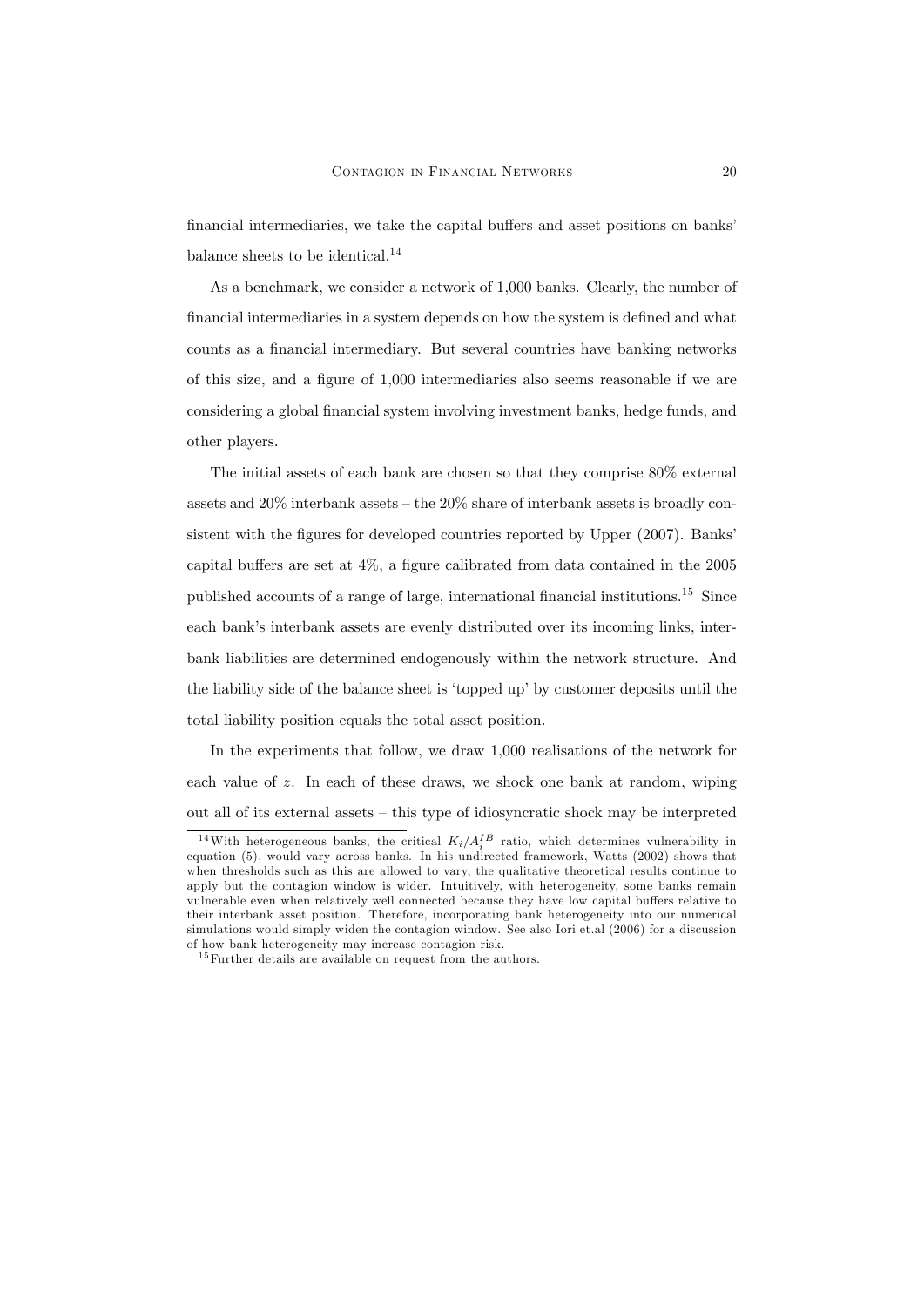financial intermediaries, we take the capital buffers and asset positions on banks' balance sheets to be identical.<sup>14</sup>

As a benchmark, we consider a network of 1,000 banks. Clearly, the number of financial intermediaries in a system depends on how the system is defined and what counts as a financial intermediary. But several countries have banking networks of this size, and a figure of  $1,000$  intermediaries also seems reasonable if we are considering a global Önancial system involving investment banks, hedge funds, and other players.

The initial assets of each bank are chosen so that they comprise 80% external assets and  $20\%$  interbank assets  $-$  the  $20\%$  share of interbank assets is broadly consistent with the figures for developed countries reported by Upper (2007). Banks' capital buffers are set at  $4\%$ , a figure calibrated from data contained in the 2005 published accounts of a range of large, international financial institutions.<sup>15</sup> Since each bank's interbank assets are evenly distributed over its incoming links, interbank liabilities are determined endogenously within the network structure. And the liability side of the balance sheet is 'topped up' by customer deposits until the total liability position equals the total asset position.

In the experiments that follow, we draw 1,000 realisations of the network for each value of z. In each of these draws, we shock one bank at random, wiping out all of its external assets  $-$  this type of idiosyncratic shock may be interpreted

<sup>&</sup>lt;sup>14</sup>With heterogeneous banks, the critical  $K_i/A_i^{IB}$  ratio, which determines vulnerability in equation (5), would vary across banks. In his undirected framework, Watts (2002) shows that when thresholds such as this are allowed to vary, the qualitative theoretical results continue to apply but the contagion window is wider. Intuitively, with heterogeneity, some banks remain vulnerable even when relatively well connected because they have low capital buffers relative to their interbank asset position. Therefore, incorporating bank heterogeneity into our numerical simulations would simply widen the contagion window. See also Iori et.al (2006) for a discussion of how bank heterogeneity may increase contagion risk.

 $^{15}\rm{Further}$  details are available on request from the authors.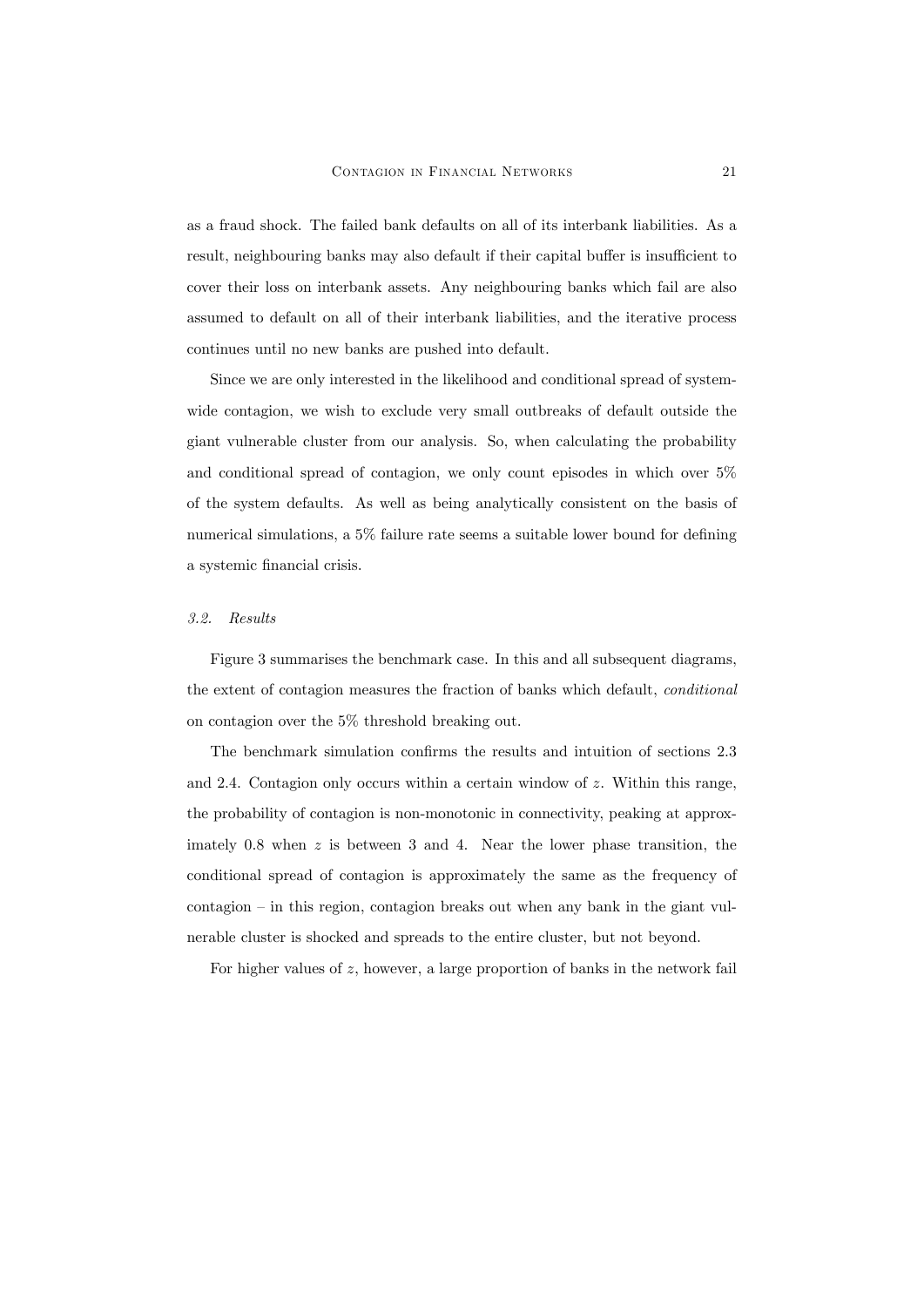as a fraud shock. The failed bank defaults on all of its interbank liabilities. As a result, neighbouring banks may also default if their capital buffer is insufficient to cover their loss on interbank assets. Any neighbouring banks which fail are also assumed to default on all of their interbank liabilities, and the iterative process continues until no new banks are pushed into default.

Since we are only interested in the likelihood and conditional spread of systemwide contagion, we wish to exclude very small outbreaks of default outside the giant vulnerable cluster from our analysis. So, when calculating the probability and conditional spread of contagion, we only count episodes in which over 5% of the system defaults. As well as being analytically consistent on the basis of numerical simulations, a  $5\%$  failure rate seems a suitable lower bound for defining a systemic financial crisis.

### 3.2. Results

Figure 3 summarises the benchmark case. In this and all subsequent diagrams, the extent of contagion measures the fraction of banks which default, conditional on contagion over the 5% threshold breaking out.

The benchmark simulation confirms the results and intuition of sections 2.3 and 2.4. Contagion only occurs within a certain window of  $z$ . Within this range, the probability of contagion is non-monotonic in connectivity, peaking at approximately 0.8 when  $z$  is between 3 and 4. Near the lower phase transition, the conditional spread of contagion is approximately the same as the frequency of  $\text{contagion} - \text{in this region}, \text{contagion breaks out when any bank in the giant vul-}$ nerable cluster is shocked and spreads to the entire cluster, but not beyond.

For higher values of z, however, a large proportion of banks in the network fail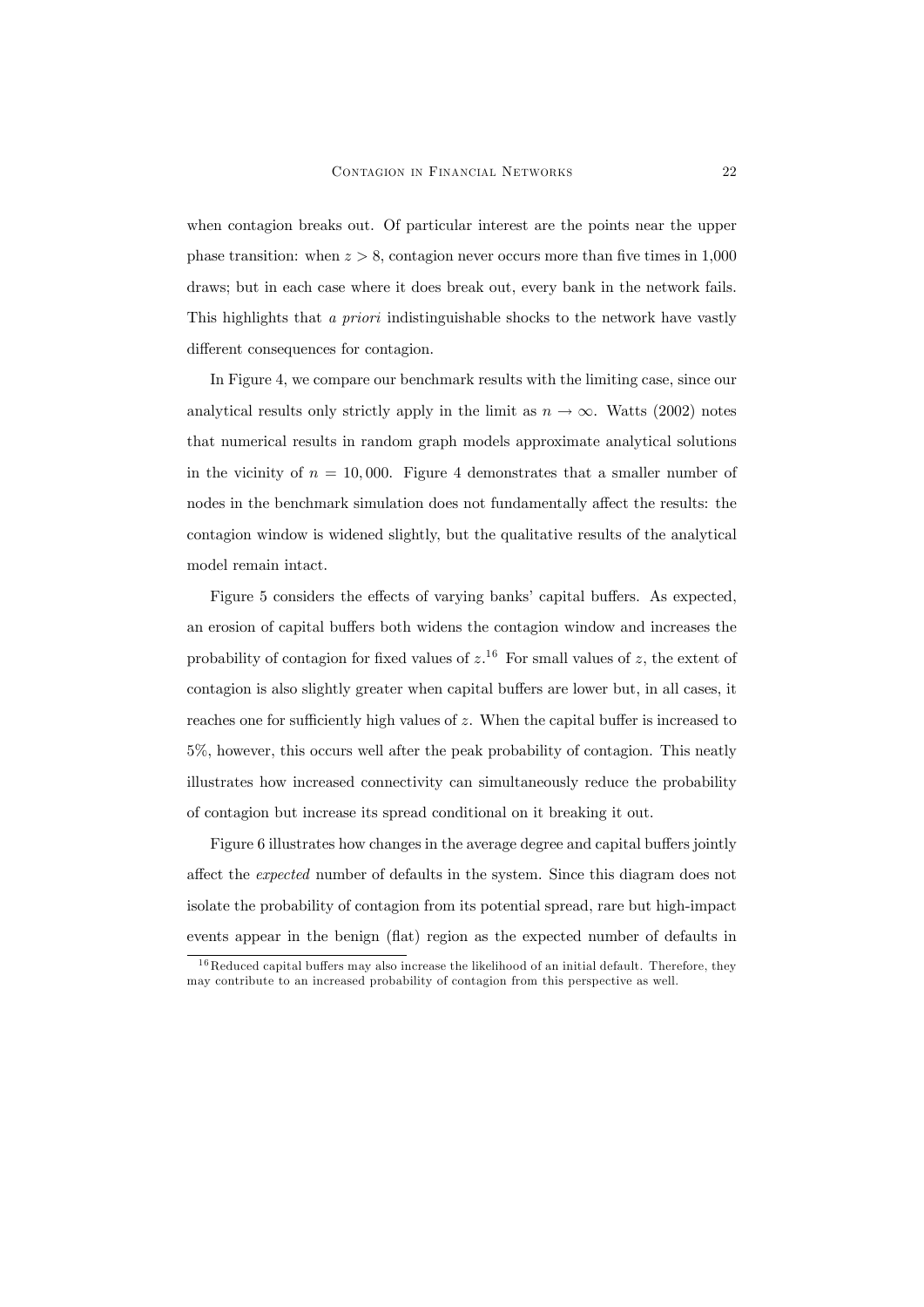when contagion breaks out. Of particular interest are the points near the upper phase transition: when  $z > 8$ , contagion never occurs more than five times in 1,000 draws; but in each case where it does break out, every bank in the network fails. This highlights that a priori indistinguishable shocks to the network have vastly different consequences for contagion.

In Figure 4, we compare our benchmark results with the limiting case, since our analytical results only strictly apply in the limit as  $n \to \infty$ . Watts (2002) notes that numerical results in random graph models approximate analytical solutions in the vicinity of  $n = 10,000$ . Figure 4 demonstrates that a smaller number of nodes in the benchmark simulation does not fundamentally affect the results: the contagion window is widened slightly, but the qualitative results of the analytical model remain intact.

Figure 5 considers the effects of varying banks' capital buffers. As expected, an erosion of capital buffers both widens the contagion window and increases the probability of contagion for fixed values of  $z$ .<sup>16</sup> For small values of z, the extent of contagion is also slightly greater when capital buffers are lower but, in all cases, it reaches one for sufficiently high values of  $z$ . When the capital buffer is increased to 5%, however, this occurs well after the peak probability of contagion. This neatly illustrates how increased connectivity can simultaneously reduce the probability of contagion but increase its spread conditional on it breaking it out.

Figure 6 illustrates how changes in the average degree and capital buffers jointly affect the *expected* number of defaults in the system. Since this diagram does not isolate the probability of contagion from its potential spread, rare but high-impact events appear in the benign (flat) region as the expected number of defaults in

 $16$ Reduced capital buffers may also increase the likelihood of an initial default. Therefore, they may contribute to an increased probability of contagion from this perspective as well.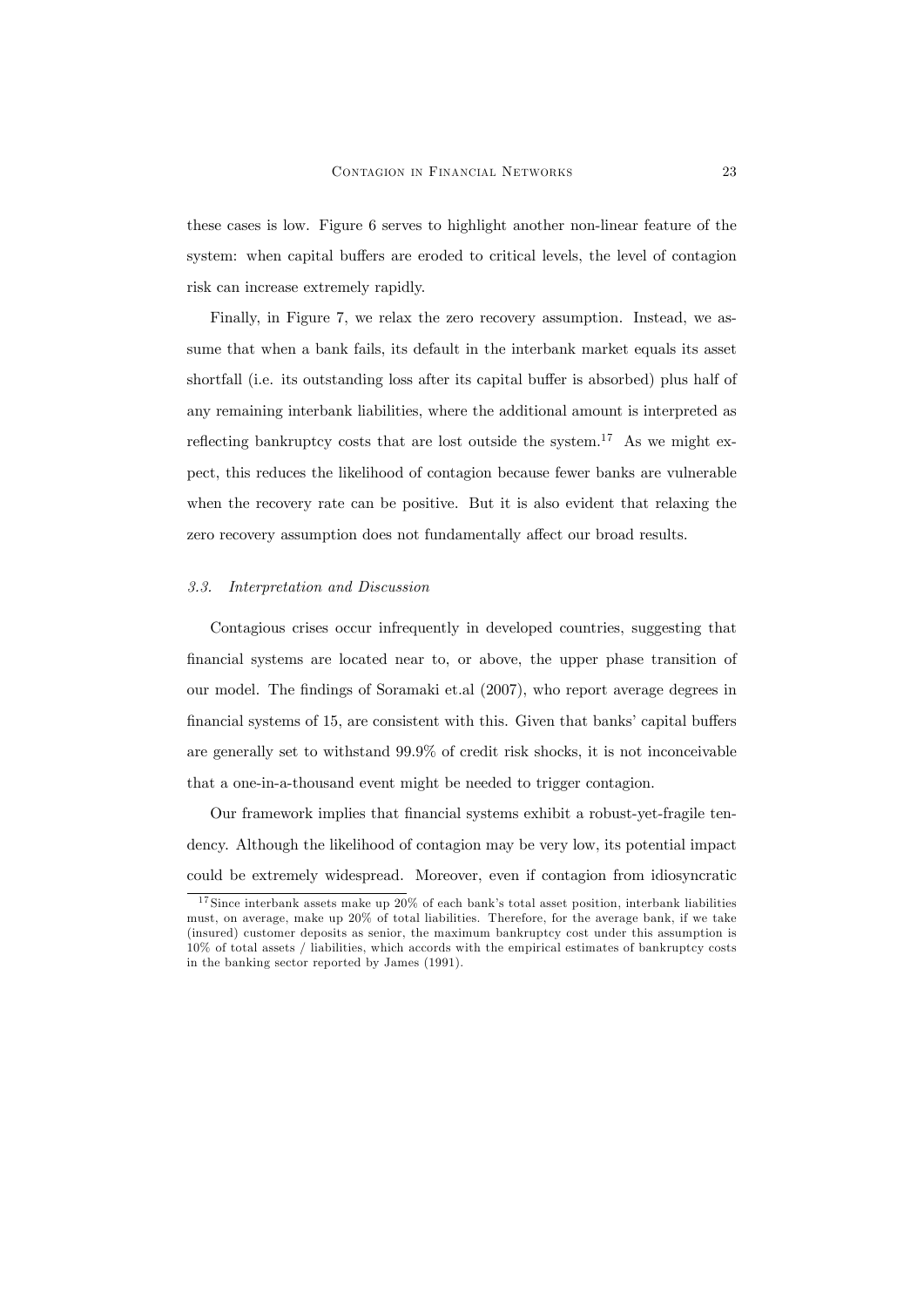these cases is low. Figure 6 serves to highlight another non-linear feature of the system: when capital buffers are eroded to critical levels, the level of contagion risk can increase extremely rapidly.

Finally, in Figure 7, we relax the zero recovery assumption. Instead, we assume that when a bank fails, its default in the interbank market equals its asset shortfall (i.e. its outstanding loss after its capital buffer is absorbed) plus half of any remaining interbank liabilities, where the additional amount is interpreted as reflecting bankruptcy costs that are lost outside the system.<sup>17</sup> As we might expect, this reduces the likelihood of contagion because fewer banks are vulnerable when the recovery rate can be positive. But it is also evident that relaxing the zero recovery assumption does not fundamentally affect our broad results.

#### 3.3. Interpretation and Discussion

Contagious crises occur infrequently in developed countries, suggesting that Önancial systems are located near to, or above, the upper phase transition of our model. The findings of Soramaki et.al (2007), who report average degrees in financial systems of 15, are consistent with this. Given that banks' capital buffers are generally set to withstand 99.9% of credit risk shocks, it is not inconceivable that a one-in-a-thousand event might be needed to trigger contagion.

Our framework implies that financial systems exhibit a robust-yet-fragile tendency. Although the likelihood of contagion may be very low, its potential impact could be extremely widespread. Moreover, even if contagion from idiosyncratic

 $17$  Since interbank assets make up  $20\%$  of each bank's total asset position, interbank liabilities must, on average, make up 20% of total liabilities. Therefore, for the average bank, if we take (insured) customer deposits as senior, the maximum bankruptcy cost under this assumption is 10% of total assets / liabilities, which accords with the empirical estimates of bankruptcy costs in the banking sector reported by James (1991).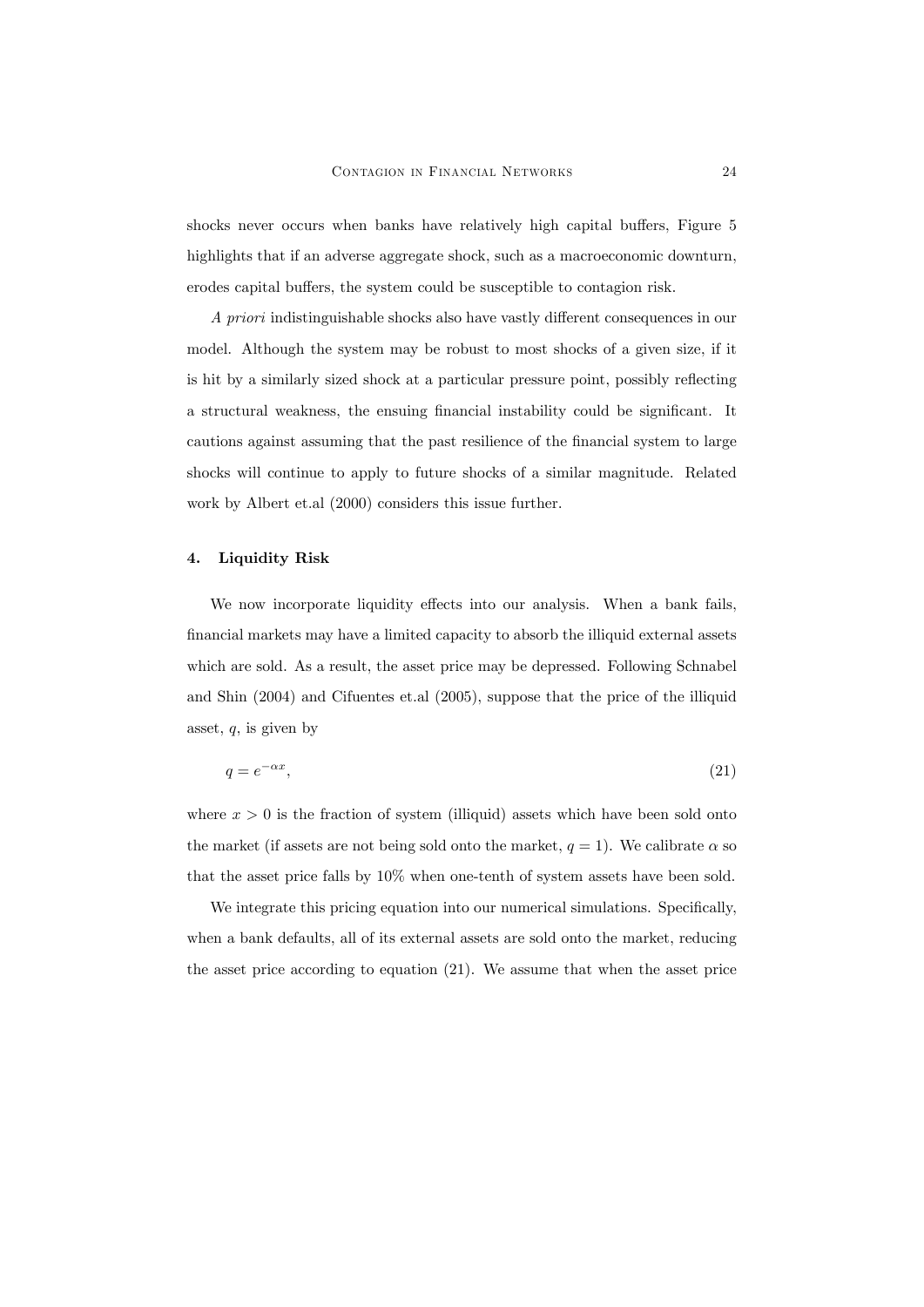shocks never occurs when banks have relatively high capital buffers, Figure 5 highlights that if an adverse aggregate shock, such as a macroeconomic downturn, erodes capital buffers, the system could be susceptible to contagion risk.

A priori indistinguishable shocks also have vastly different consequences in our model. Although the system may be robust to most shocks of a given size, if it is hit by a similarly sized shock at a particular pressure point, possibly reflecting a structural weakness, the ensuing financial instability could be significant. It cautions against assuming that the past resilience of the financial system to large shocks will continue to apply to future shocks of a similar magnitude. Related work by Albert et.al (2000) considers this issue further.

# 4. Liquidity Risk

We now incorporate liquidity effects into our analysis. When a bank fails, Önancial markets may have a limited capacity to absorb the illiquid external assets which are sold. As a result, the asset price may be depressed. Following Schnabel and Shin (2004) and Cifuentes et.al (2005), suppose that the price of the illiquid asset,  $q$ , is given by

$$
q = e^{-\alpha x},\tag{21}
$$

where  $x > 0$  is the fraction of system (illiquid) assets which have been sold onto the market (if assets are not being sold onto the market,  $q = 1$ ). We calibrate  $\alpha$  so that the asset price falls by 10% when one-tenth of system assets have been sold.

We integrate this pricing equation into our numerical simulations. Specifically, when a bank defaults, all of its external assets are sold onto the market, reducing the asset price according to equation (21). We assume that when the asset price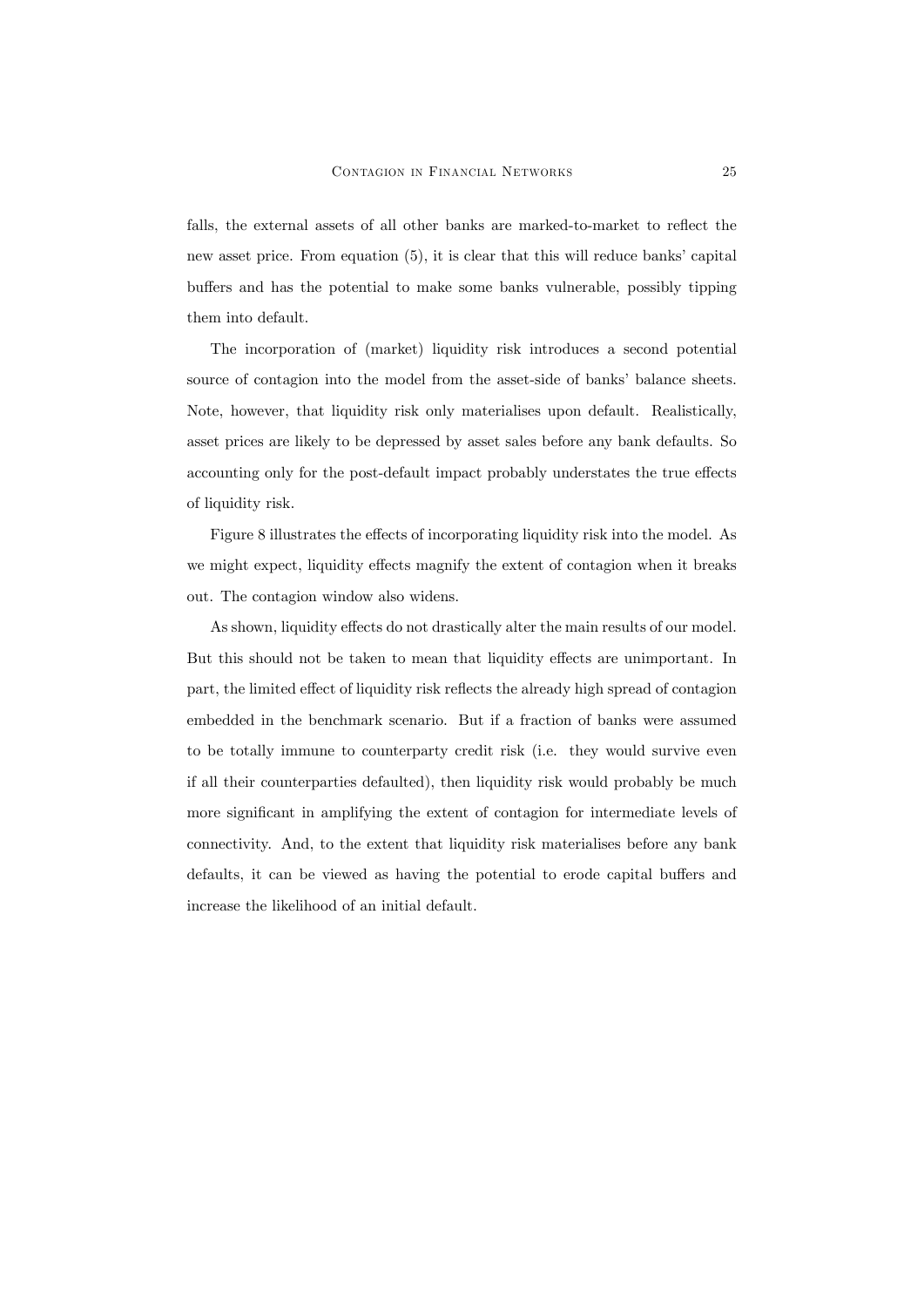falls, the external assets of all other banks are marked-to-market to reflect the new asset price. From equation  $(5)$ , it is clear that this will reduce banks' capital buffers and has the potential to make some banks vulnerable, possibly tipping them into default.

The incorporation of (market) liquidity risk introduces a second potential source of contagion into the model from the asset-side of banks' balance sheets. Note, however, that liquidity risk only materialises upon default. Realistically, asset prices are likely to be depressed by asset sales before any bank defaults. So accounting only for the post-default impact probably understates the true effects of liquidity risk.

Figure 8 illustrates the effects of incorporating liquidity risk into the model. As we might expect, liquidity effects magnify the extent of contagion when it breaks out. The contagion window also widens.

As shown, liquidity effects do not drastically alter the main results of our model. But this should not be taken to mean that liquidity effects are unimportant. In part, the limited effect of liquidity risk reflects the already high spread of contagion embedded in the benchmark scenario. But if a fraction of banks were assumed to be totally immune to counterparty credit risk (i.e. they would survive even if all their counterparties defaulted), then liquidity risk would probably be much more significant in amplifying the extent of contagion for intermediate levels of connectivity. And, to the extent that liquidity risk materialises before any bank defaults, it can be viewed as having the potential to erode capital buffers and increase the likelihood of an initial default.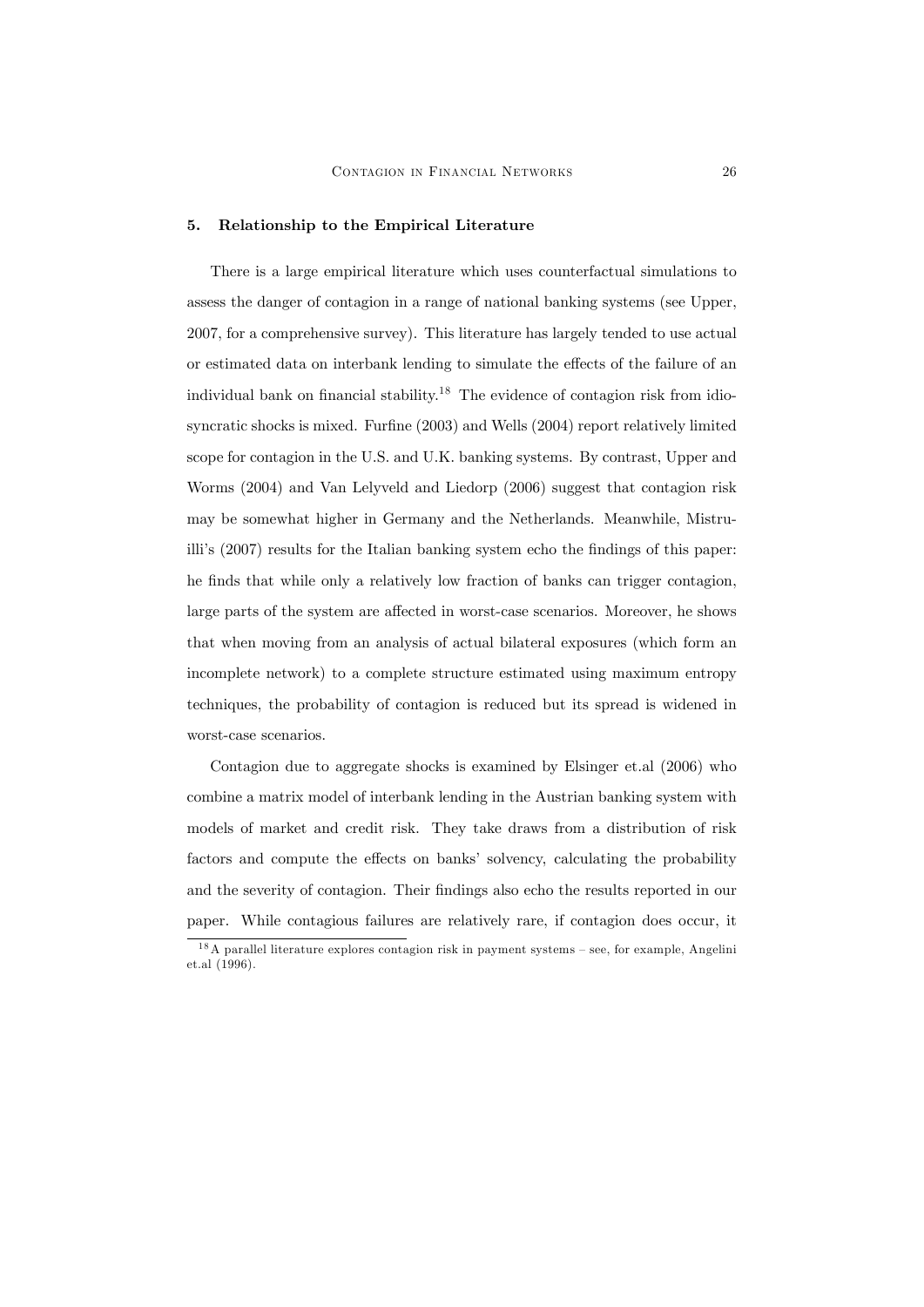#### 5. Relationship to the Empirical Literature

There is a large empirical literature which uses counterfactual simulations to assess the danger of contagion in a range of national banking systems (see Upper, 2007, for a comprehensive survey). This literature has largely tended to use actual or estimated data on interbank lending to simulate the effects of the failure of an individual bank on financial stability.<sup>18</sup> The evidence of contagion risk from idiosyncratic shocks is mixed. Furfine  $(2003)$  and Wells  $(2004)$  report relatively limited scope for contagion in the U.S. and U.K. banking systems. By contrast, Upper and Worms (2004) and Van Lelyveld and Liedorp (2006) suggest that contagion risk may be somewhat higher in Germany and the Netherlands. Meanwhile, Mistruilli's (2007) results for the Italian banking system echo the findings of this paper: he finds that while only a relatively low fraction of banks can trigger contagion, large parts of the system are affected in worst-case scenarios. Moreover, he shows that when moving from an analysis of actual bilateral exposures (which form an incomplete network) to a complete structure estimated using maximum entropy techniques, the probability of contagion is reduced but its spread is widened in worst-case scenarios.

Contagion due to aggregate shocks is examined by Elsinger et.al (2006) who combine a matrix model of interbank lending in the Austrian banking system with models of market and credit risk. They take draws from a distribution of risk factors and compute the effects on banks' solvency, calculating the probability and the severity of contagion. Their findings also echo the results reported in our paper. While contagious failures are relatively rare, if contagion does occur, it

 $18A$  parallel literature explores contagion risk in payment systems – see, for example, Angelini et.al (1996).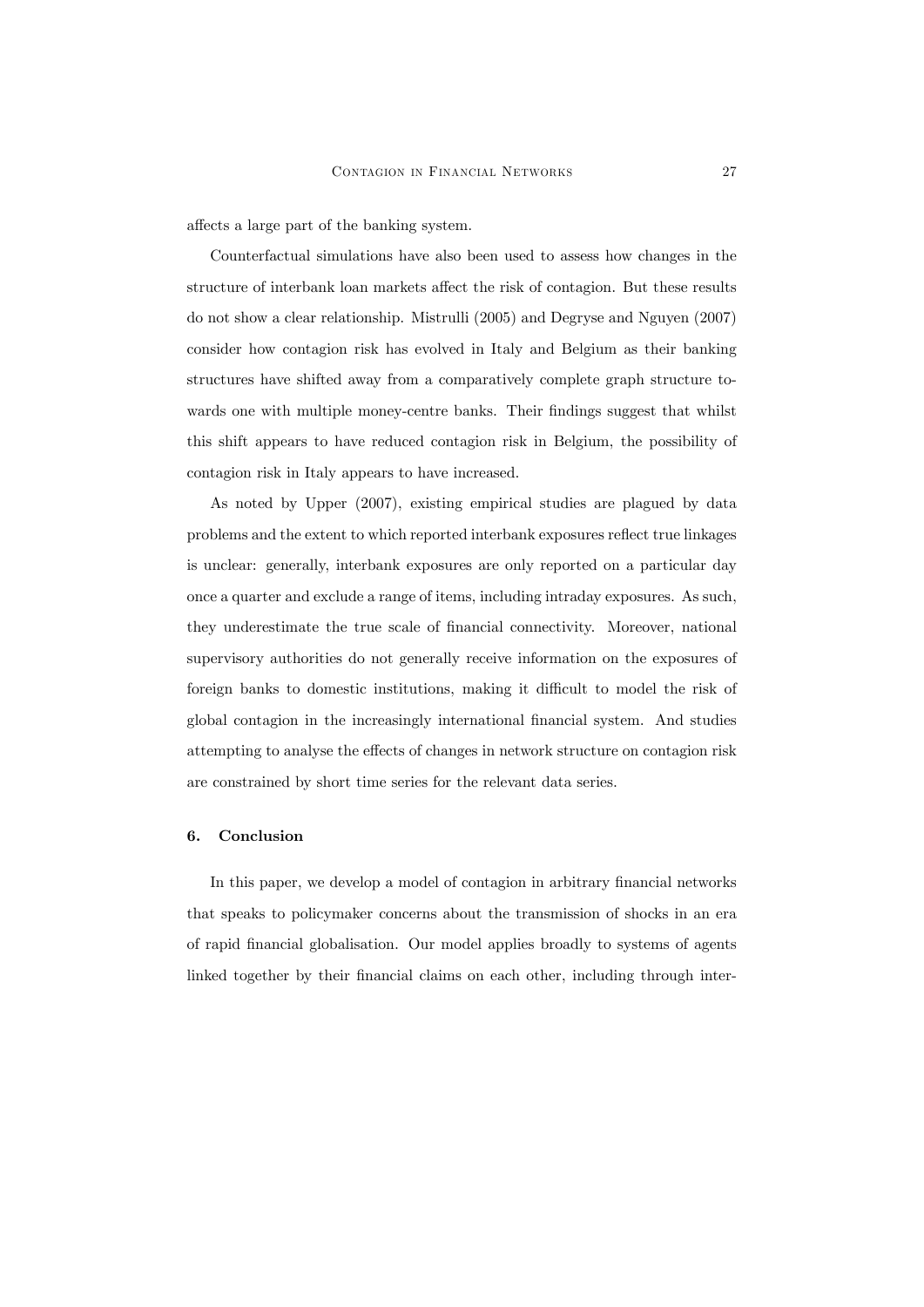affects a large part of the banking system.

Counterfactual simulations have also been used to assess how changes in the structure of interbank loan markets affect the risk of contagion. But these results do not show a clear relationship. Mistrulli (2005) and Degryse and Nguyen (2007) consider how contagion risk has evolved in Italy and Belgium as their banking structures have shifted away from a comparatively complete graph structure towards one with multiple money-centre banks. Their findings suggest that whilst this shift appears to have reduced contagion risk in Belgium, the possibility of contagion risk in Italy appears to have increased.

As noted by Upper (2007), existing empirical studies are plagued by data problems and the extent to which reported interbank exposures reáect true linkages is unclear: generally, interbank exposures are only reported on a particular day once a quarter and exclude a range of items, including intraday exposures. As such, they underestimate the true scale of financial connectivity. Moreover, national supervisory authorities do not generally receive information on the exposures of foreign banks to domestic institutions, making it difficult to model the risk of global contagion in the increasingly international Önancial system. And studies attempting to analyse the effects of changes in network structure on contagion risk are constrained by short time series for the relevant data series.

#### 6. Conclusion

In this paper, we develop a model of contagion in arbitrary financial networks that speaks to policymaker concerns about the transmission of shocks in an era of rapid Önancial globalisation. Our model applies broadly to systems of agents linked together by their financial claims on each other, including through inter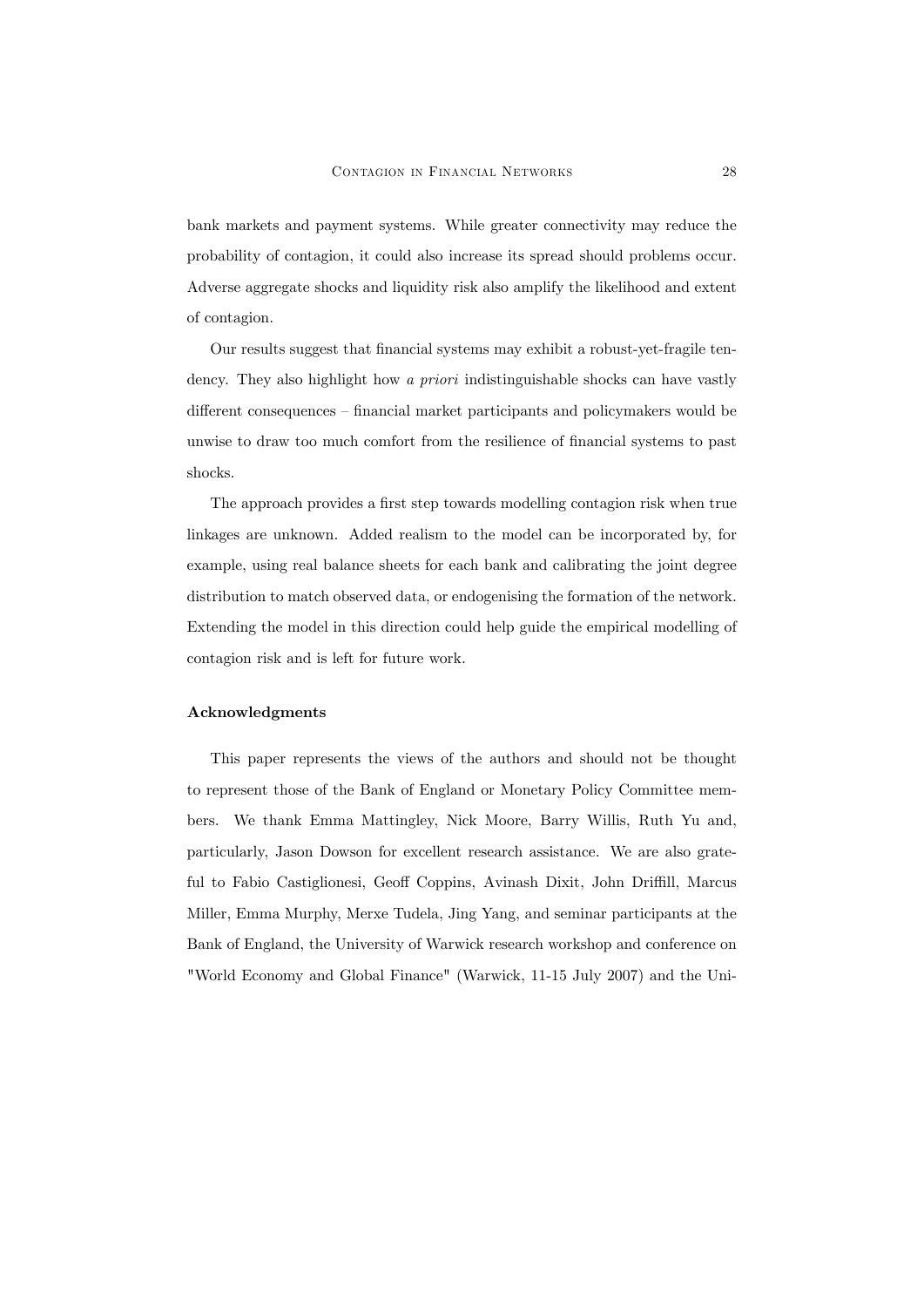bank markets and payment systems. While greater connectivity may reduce the probability of contagion, it could also increase its spread should problems occur. Adverse aggregate shocks and liquidity risk also amplify the likelihood and extent of contagion.

Our results suggest that financial systems may exhibit a robust-yet-fragile tendency. They also highlight how a priori indistinguishable shocks can have vastly different consequences – financial market participants and policymakers would be unwise to draw too much comfort from the resilience of financial systems to past shocks.

The approach provides a first step towards modelling contagion risk when true linkages are unknown. Added realism to the model can be incorporated by, for example, using real balance sheets for each bank and calibrating the joint degree distribution to match observed data, or endogenising the formation of the network. Extending the model in this direction could help guide the empirical modelling of contagion risk and is left for future work.

#### Acknowledgments

This paper represents the views of the authors and should not be thought to represent those of the Bank of England or Monetary Policy Committee members. We thank Emma Mattingley, Nick Moore, Barry Willis, Ruth Yu and, particularly, Jason Dowson for excellent research assistance. We are also grateful to Fabio Castiglionesi, Geoff Coppins, Avinash Dixit, John Driffill, Marcus Miller, Emma Murphy, Merxe Tudela, Jing Yang, and seminar participants at the Bank of England, the University of Warwick research workshop and conference on "World Economy and Global Finance" (Warwick, 11-15 July 2007) and the Uni-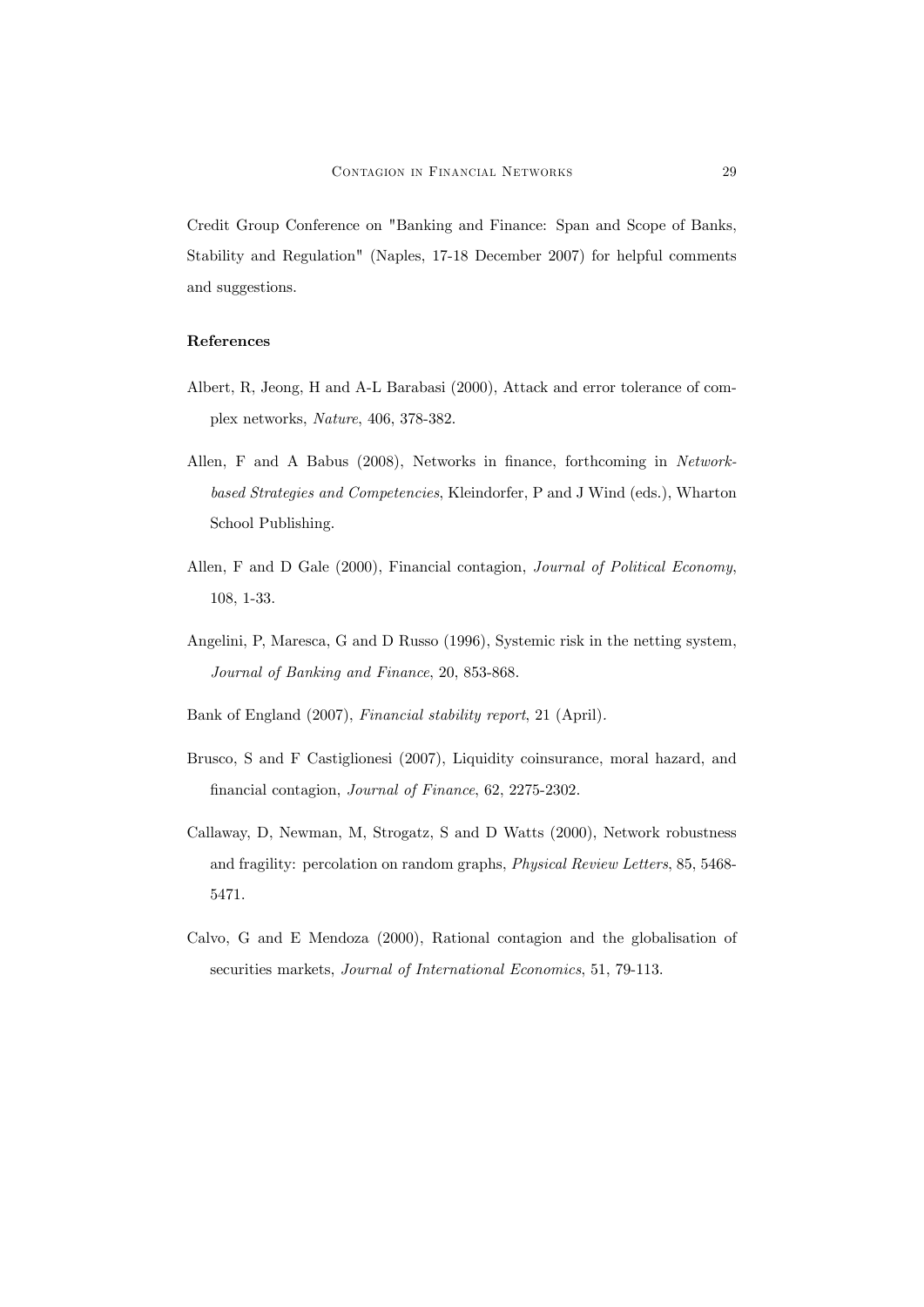Credit Group Conference on "Banking and Finance: Span and Scope of Banks, Stability and Regulation" (Naples, 17-18 December 2007) for helpful comments and suggestions.

## References

- Albert, R, Jeong, H and A-L Barabasi (2000), Attack and error tolerance of complex networks, Nature, 406, 378-382.
- Allen, F and A Babus (2008), Networks in finance, forthcoming in Networkbased Strategies and Competencies, Kleindorfer, P and J Wind (eds.), Wharton School Publishing.
- Allen, F and D Gale (2000), Financial contagion, Journal of Political Economy, 108, 1-33.
- Angelini, P, Maresca, G and D Russo (1996), Systemic risk in the netting system, Journal of Banking and Finance, 20, 853-868.
- Bank of England (2007), Financial stability report, 21 (April).
- Brusco, S and F Castiglionesi (2007), Liquidity coinsurance, moral hazard, and financial contagion, Journal of Finance, 62, 2275-2302.
- Callaway, D, Newman, M, Strogatz, S and D Watts (2000), Network robustness and fragility: percolation on random graphs, Physical Review Letters, 85, 5468- 5471.
- Calvo, G and E Mendoza (2000), Rational contagion and the globalisation of securities markets, Journal of International Economics, 51, 79-113.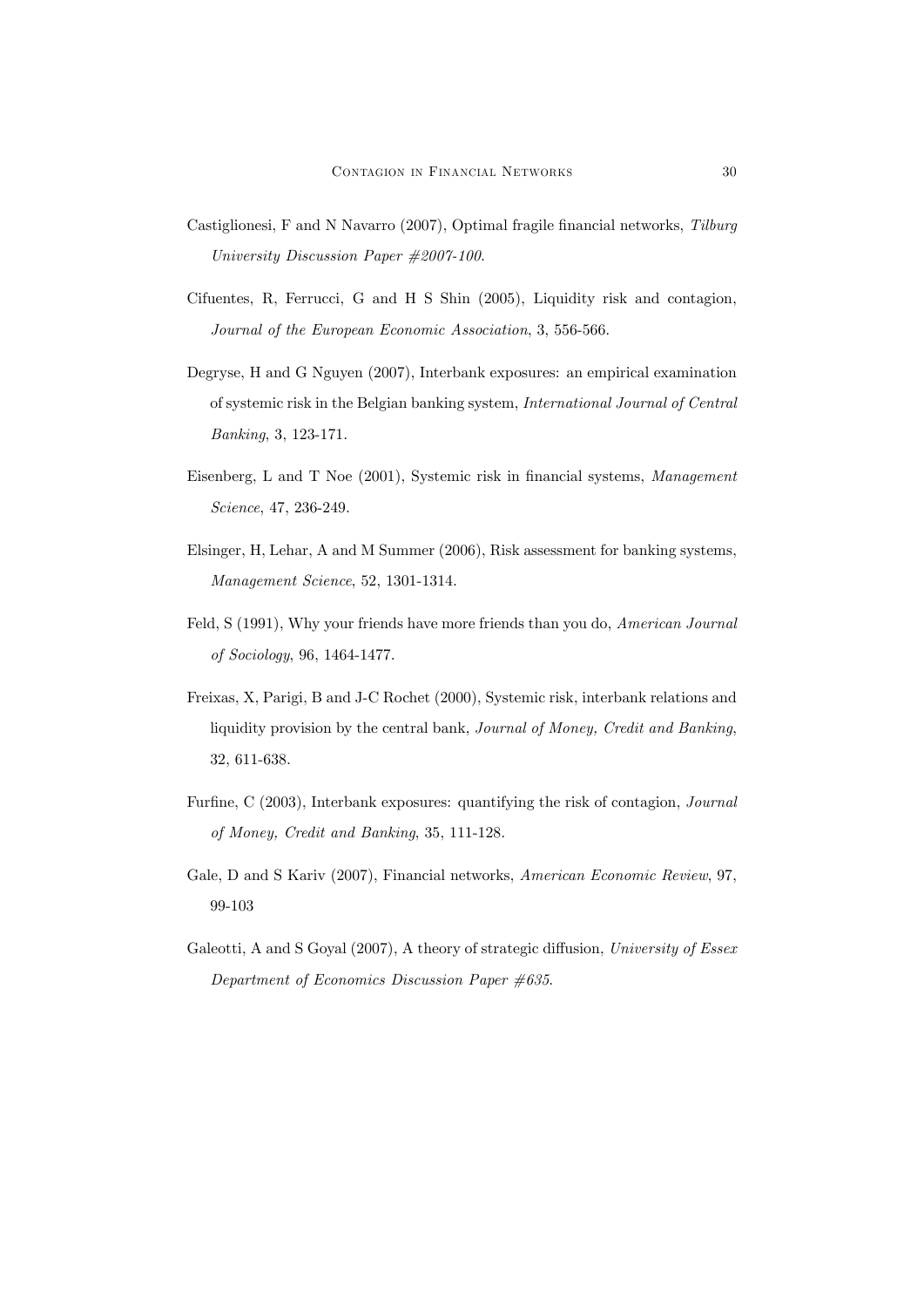- Castiglionesi, F and N Navarro (2007), Optimal fragile financial networks, Tilburg University Discussion Paper #2007-100.
- Cifuentes, R, Ferrucci, G and H S Shin (2005), Liquidity risk and contagion, Journal of the European Economic Association, 3, 556-566.
- Degryse, H and G Nguyen (2007), Interbank exposures: an empirical examination of systemic risk in the Belgian banking system, International Journal of Central Banking, 3, 123-171.
- Eisenberg, L and T Noe (2001), Systemic risk in financial systems, Management Science, 47, 236-249.
- Elsinger, H, Lehar, A and M Summer (2006), Risk assessment for banking systems, Management Science, 52, 1301-1314.
- Feld, S (1991), Why your friends have more friends than you do, American Journal of Sociology, 96, 1464-1477.
- Freixas, X, Parigi, B and J-C Rochet (2000), Systemic risk, interbank relations and liquidity provision by the central bank, Journal of Money, Credit and Banking, 32, 611-638.
- Furfine, C  $(2003)$ , Interbank exposures: quantifying the risk of contagion, *Journal* of Money, Credit and Banking, 35, 111-128.
- Gale, D and S Kariv (2007), Financial networks, American Economic Review, 97, 99-103
- Galeotti, A and S Goyal (2007), A theory of strategic diffusion, University of Essex Department of Economics Discussion Paper #635.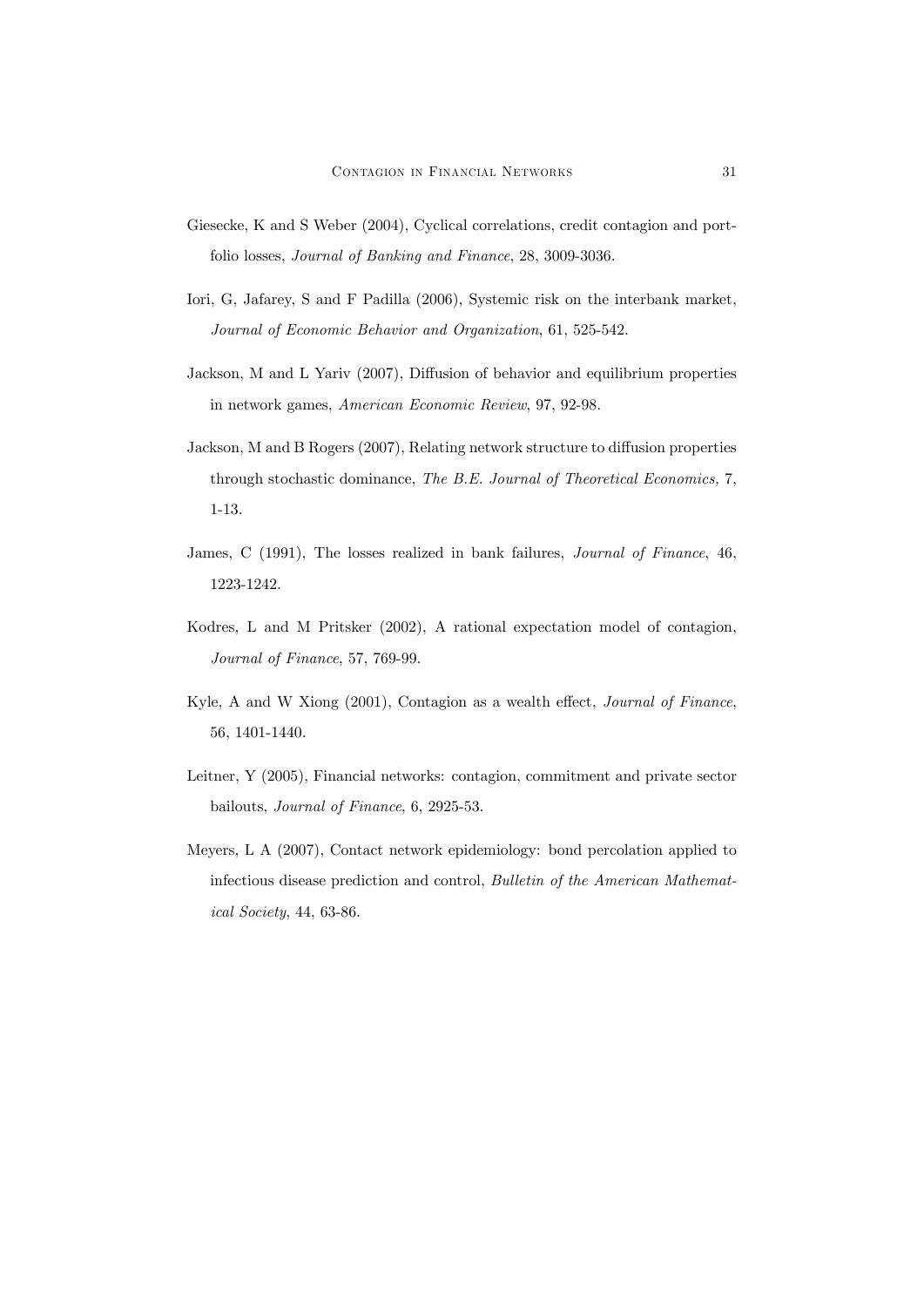- Giesecke, K and S Weber (2004), Cyclical correlations, credit contagion and portfolio losses, Journal of Banking and Finance, 28, 3009-3036.
- Iori, G, Jafarey, S and F Padilla (2006), Systemic risk on the interbank market, Journal of Economic Behavior and Organization, 61, 525-542.
- Jackson, M and L Yariv  $(2007)$ , Diffusion of behavior and equilibrium properties in network games, American Economic Review, 97, 92-98.
- Jackson, M and B Rogers (2007), Relating network structure to diffusion properties through stochastic dominance, The B.E. Journal of Theoretical Economics, 7, 1-13.
- James, C (1991), The losses realized in bank failures, Journal of Finance, 46, 1223-1242.
- Kodres, L and M Pritsker (2002), A rational expectation model of contagion, Journal of Finance, 57, 769-99.
- Kyle, A and W Xiong  $(2001)$ , Contagion as a wealth effect, *Journal of Finance*, 56, 1401-1440.
- Leitner, Y (2005), Financial networks: contagion, commitment and private sector bailouts, Journal of Finance, 6, 2925-53.
- Meyers, L A (2007), Contact network epidemiology: bond percolation applied to infectious disease prediction and control, Bulletin of the American Mathematical Society, 44, 63-86.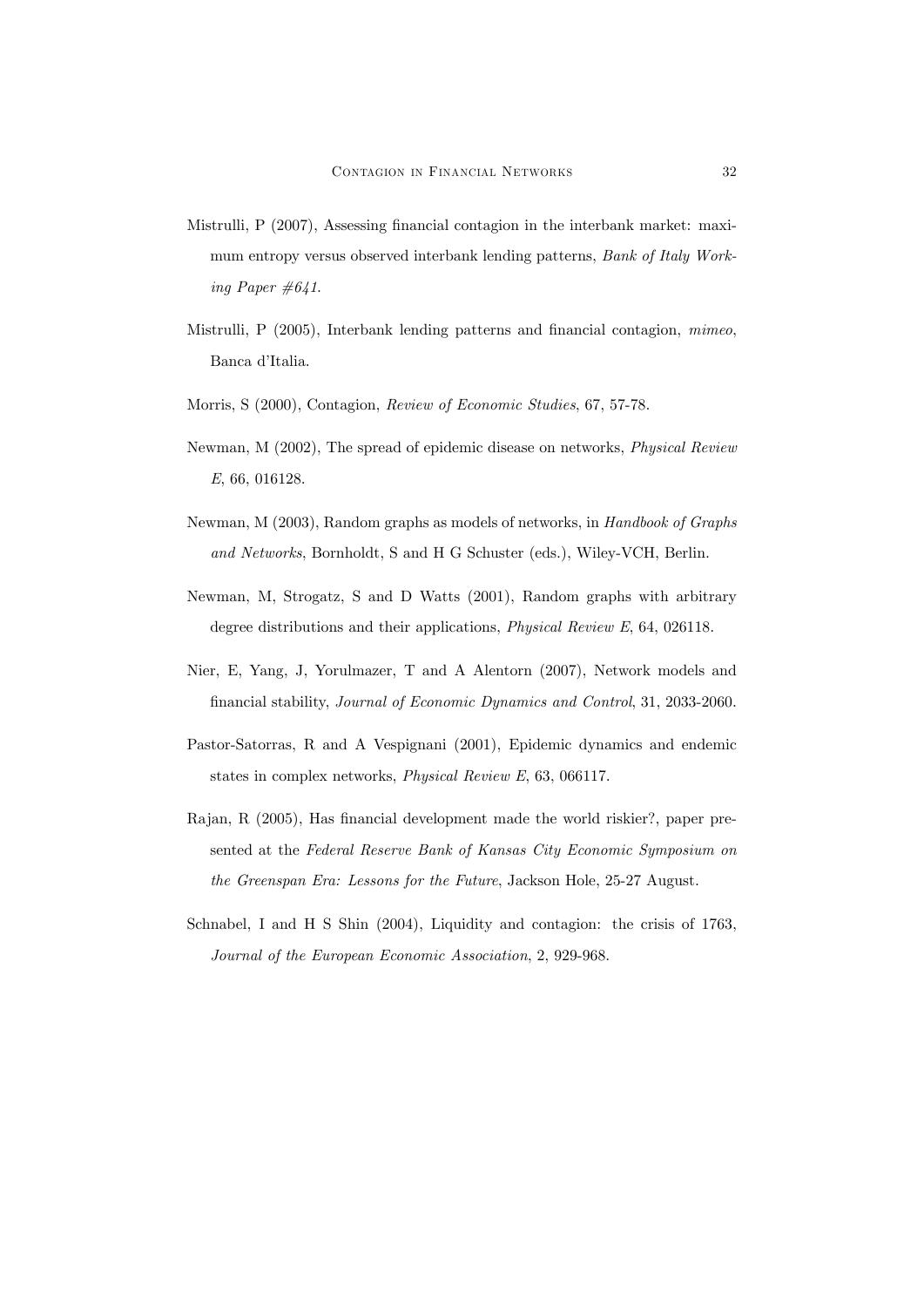- Mistrulli,  $P(2007)$ , Assessing financial contagion in the interbank market: maximum entropy versus observed interbank lending patterns, Bank of Italy Working Paper  $\#641$ .
- Mistrulli, P (2005), Interbank lending patterns and financial contagion, mimeo, Banca d'Italia.
- Morris, S (2000), Contagion, Review of Economic Studies, 67, 57-78.
- Newman, M (2002), The spread of epidemic disease on networks, Physical Review E, 66, 016128.
- Newman, M (2003), Random graphs as models of networks, in Handbook of Graphs and Networks, Bornholdt, S and H G Schuster (eds.), Wiley-VCH, Berlin.
- Newman, M, Strogatz, S and D Watts (2001), Random graphs with arbitrary degree distributions and their applications, Physical Review E, 64, 026118.
- Nier, E, Yang, J, Yorulmazer, T and A Alentorn (2007), Network models and financial stability, Journal of Economic Dynamics and Control, 31, 2033-2060.
- Pastor-Satorras, R and A Vespignani (2001), Epidemic dynamics and endemic states in complex networks, Physical Review E, 63, 066117.
- Rajan, R (2005), Has financial development made the world riskier?, paper presented at the Federal Reserve Bank of Kansas City Economic Symposium on the Greenspan Era: Lessons for the Future, Jackson Hole, 25-27 August.
- Schnabel, I and H S Shin (2004), Liquidity and contagion: the crisis of 1763, Journal of the European Economic Association, 2, 929-968.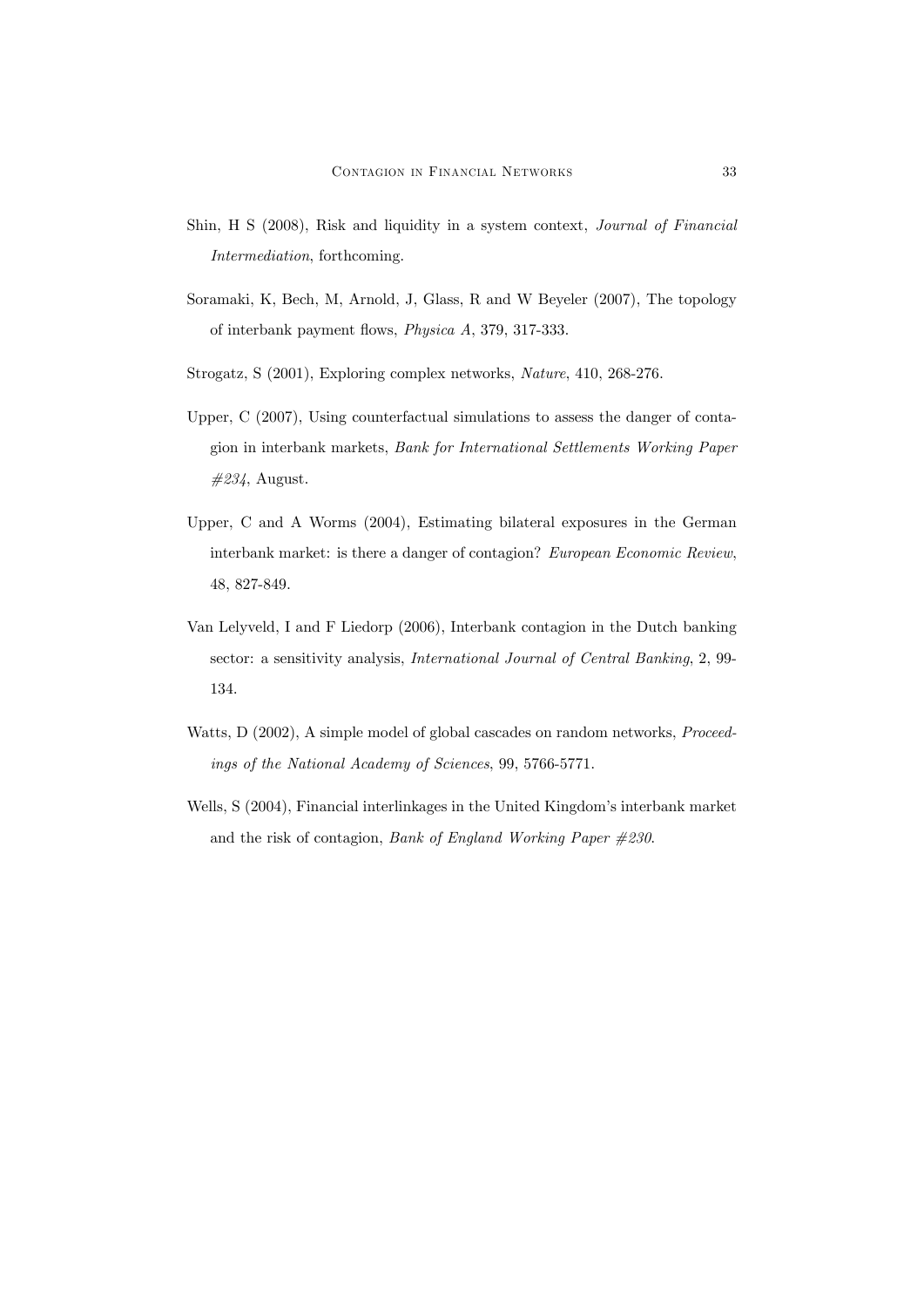- Shin, H S (2008), Risk and liquidity in a system context, Journal of Financial Intermediation, forthcoming.
- Soramaki, K, Bech, M, Arnold, J, Glass, R and W Beyeler (2007), The topology of interbank payment áows, Physica A, 379, 317-333.
- Strogatz, S (2001), Exploring complex networks, Nature, 410, 268-276.
- Upper, C (2007), Using counterfactual simulations to assess the danger of contagion in interbank markets, Bank for International Settlements Working Paper  $\#234$ , August.
- Upper, C and A Worms (2004), Estimating bilateral exposures in the German interbank market: is there a danger of contagion? European Economic Review, 48, 827-849.
- Van Lelyveld, I and F Liedorp (2006), Interbank contagion in the Dutch banking sector: a sensitivity analysis, International Journal of Central Banking, 2, 99- 134.
- Watts, D (2002), A simple model of global cascades on random networks, Proceedings of the National Academy of Sciences, 99, 5766-5771.
- Wells, S (2004), Financial interlinkages in the United Kingdom's interbank market and the risk of contagion, Bank of England Working Paper #230.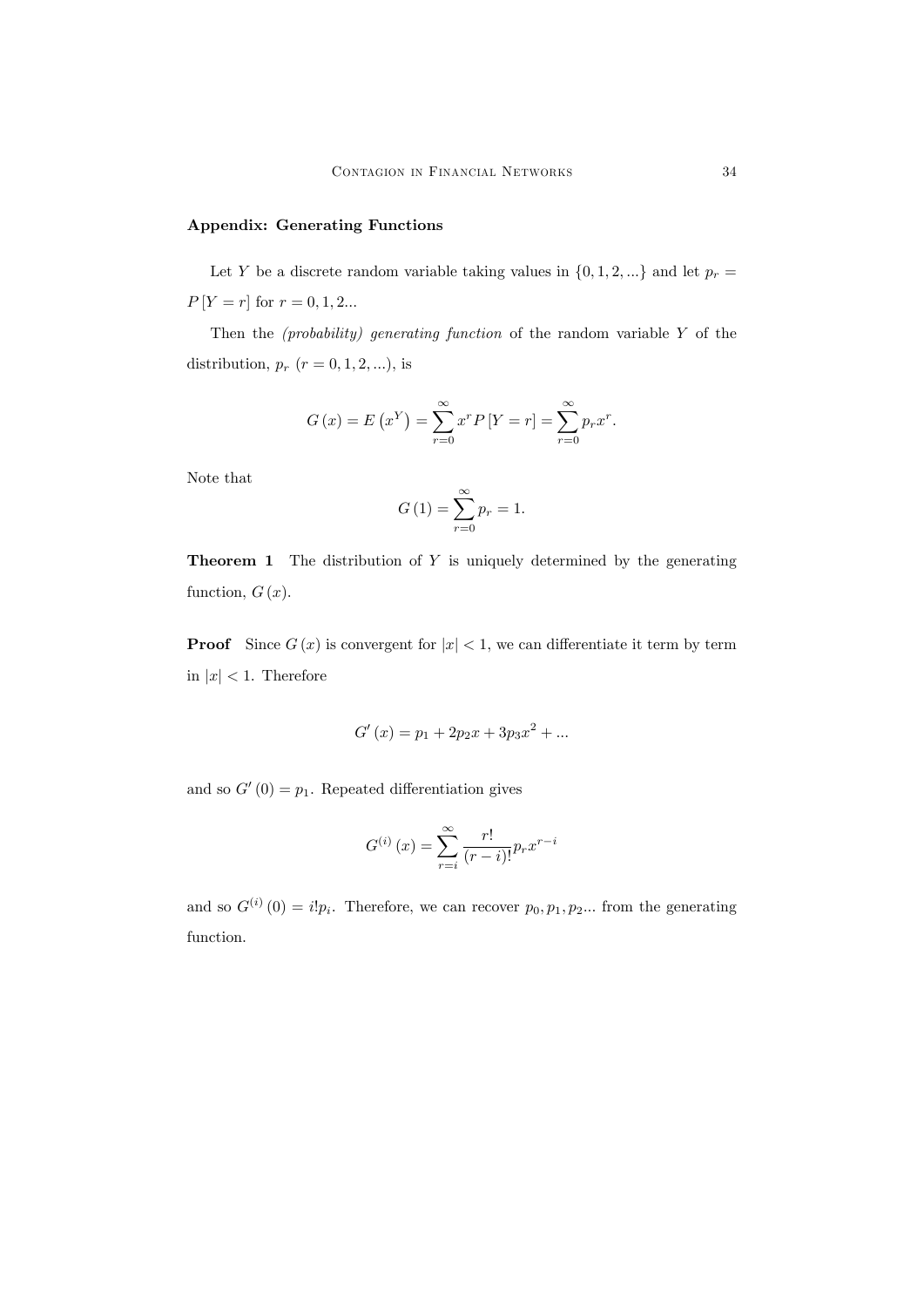## Appendix: Generating Functions

Let Y be a discrete random variable taking values in  $\{0, 1, 2, ...\}$  and let  $p_r =$  $P[Y = r]$  for  $r = 0, 1, 2...$ 

Then the *(probability)* generating function of the random variable  $Y$  of the distribution,  $p_r$  ( $r = 0, 1, 2, ...$ ), is

$$
G(x) = E(x^{Y}) = \sum_{r=0}^{\infty} x^{r} P[Y = r] = \sum_{r=0}^{\infty} p_{r} x^{r}.
$$

Note that

$$
G\left(1\right) = \sum_{r=0}^{\infty} p_r = 1.
$$

**Theorem 1** The distribution of  $Y$  is uniquely determined by the generating function,  $G(x)$ .

**Proof** Since  $G(x)$  is convergent for  $|x| < 1$ , we can differentiate it term by term in  $|x| < 1$ . Therefore

$$
G'(x) = p_1 + 2p_2x + 3p_3x^2 + \dots
$$

and so  $G'(0) = p_1$ . Repeated differentiation gives

$$
G^{(i)}(x) = \sum_{r=i}^{\infty} \frac{r!}{(r-i)!} p_r x^{r-i}
$$

and so  $G^{(i)}(0) = i!p_i$ . Therefore, we can recover  $p_0, p_1, p_2...$  from the generating function.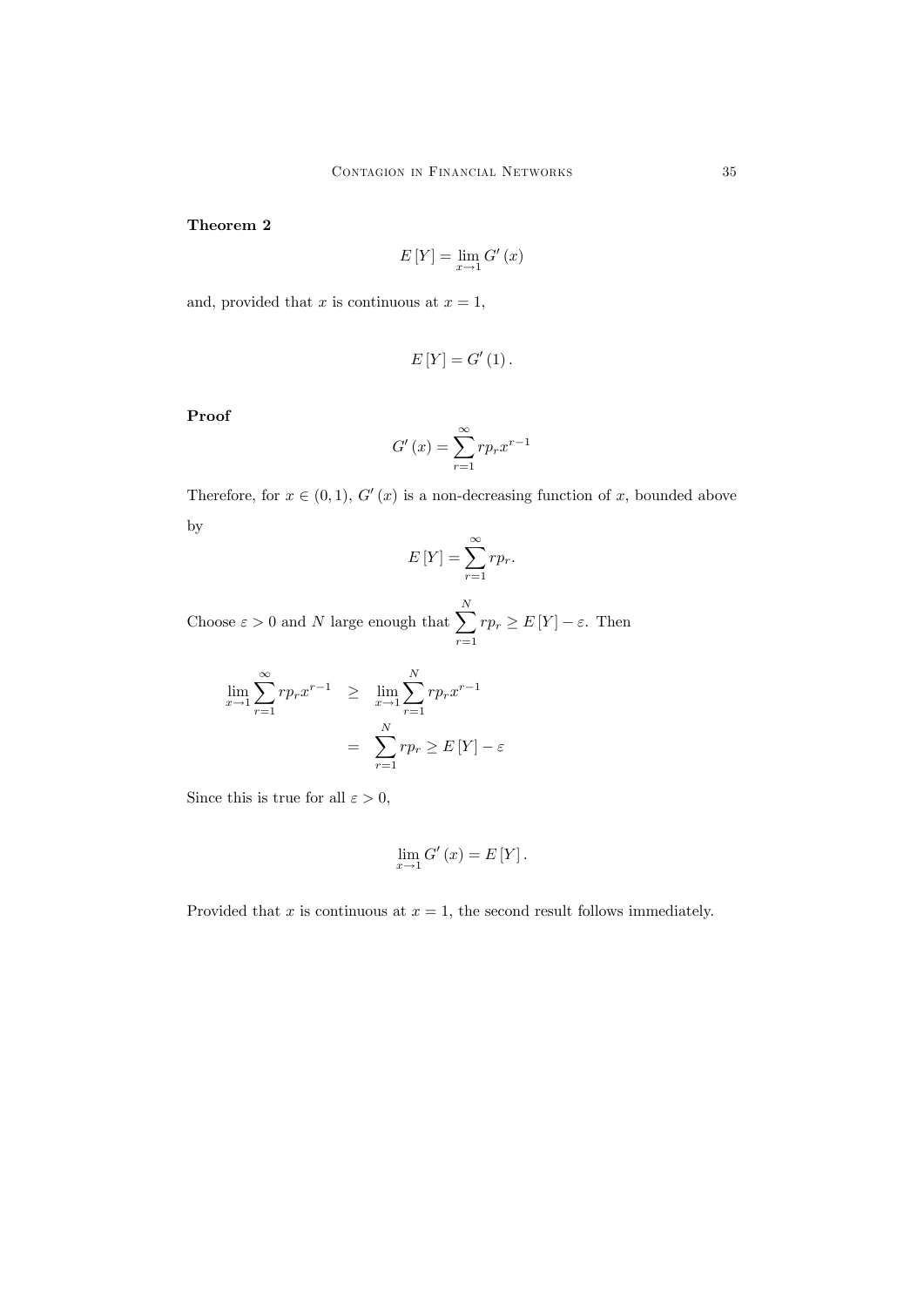# Theorem 2

$$
E[Y] = \lim_{x \to 1} G'(x)
$$

and, provided that x is continuous at  $x = 1$ ,

$$
E[Y] = G'(1).
$$

Proof

$$
G'(x) = \sum_{r=1}^{\infty} r p_r x^{r-1}
$$

Therefore, for  $x \in (0, 1)$ ,  $G'(x)$  is a non-decreasing function of x, bounded above by

$$
E[Y] = \sum_{r=1}^{\infty} r p_r.
$$

Choose  $\varepsilon > 0$  and N large enough that  $\sum_{n=1}^{N}$  $\sum_{r=1}rp_r \geq E[Y]-\varepsilon$ . Then

$$
\lim_{x \to 1} \sum_{r=1}^{\infty} r p_r x^{r-1} \ge \lim_{x \to 1} \sum_{r=1}^{N} r p_r x^{r-1}
$$

$$
= \sum_{r=1}^{N} r p_r \ge E[Y] - \varepsilon
$$

Since this is true for all  $\varepsilon > 0$ ,

$$
\lim_{x \to 1} G'(x) = E[Y].
$$

Provided that x is continuous at  $x = 1$ , the second result follows immediately.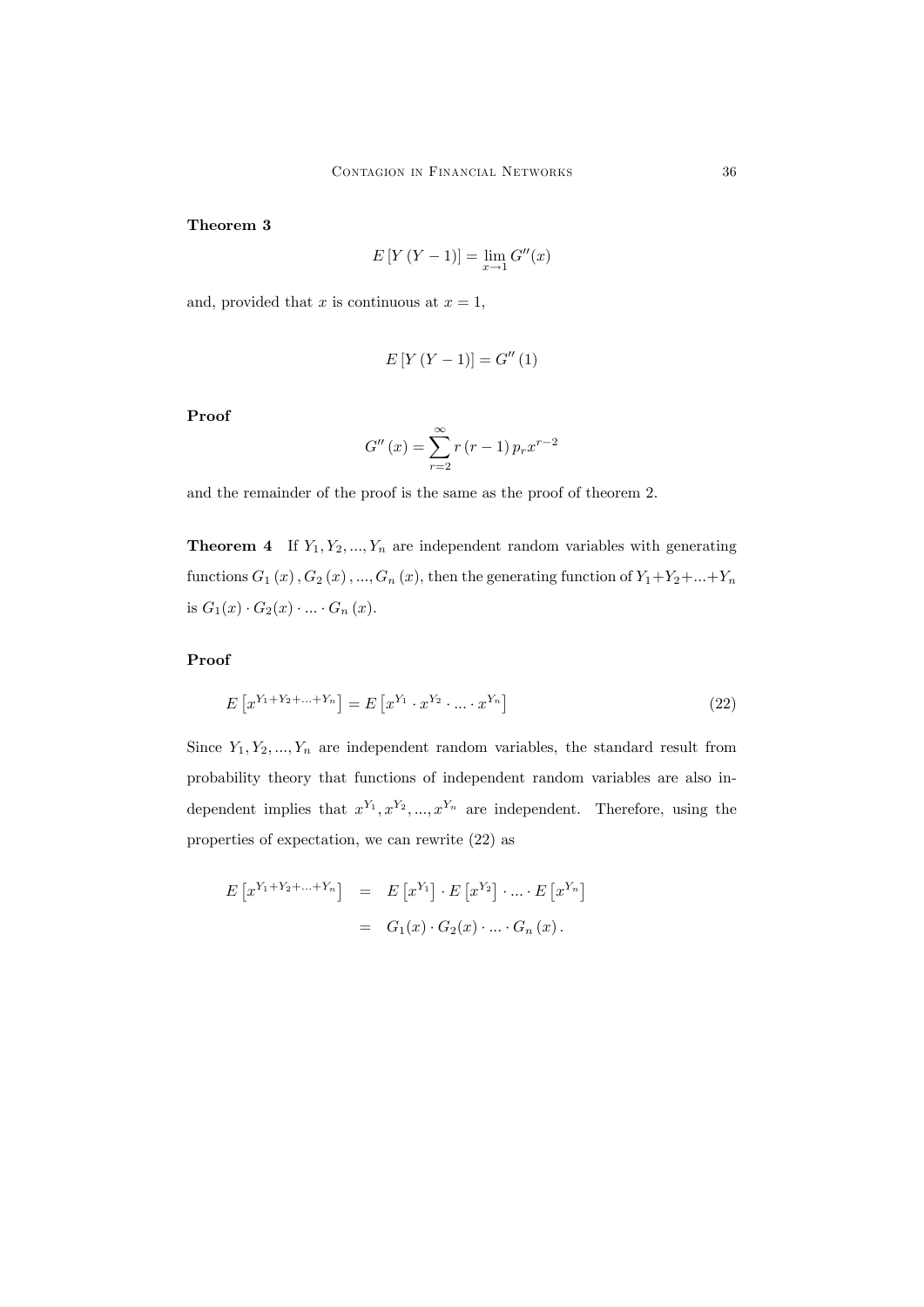# Theorem 3

$$
E[Y(Y - 1)] = \lim_{x \to 1} G''(x)
$$

and, provided that x is continuous at  $x = 1$ ,

$$
E[Y(Y - 1)] = G''(1)
$$

Proof

$$
G''(x) = \sum_{r=2}^{\infty} r(r-1) p_r x^{r-2}
$$

and the remainder of the proof is the same as the proof of theorem 2.

**Theorem 4** If  $Y_1, Y_2, ..., Y_n$  are independent random variables with generating functions  $G_1(x)$ ,  $G_2(x)$ , ...,  $G_n(x)$ , then the generating function of  $Y_1+Y_2+\ldots+Y_n$ is  $G_1(x) \cdot G_2(x) \cdot ... \cdot G_n(x)$ .

Proof

$$
E[x^{Y_1+Y_2+\ldots+Y_n}] = E[x^{Y_1} \cdot x^{Y_2} \cdot \ldots \cdot x^{Y_n}]
$$
\n(22)

Since  $Y_1, Y_2, ..., Y_n$  are independent random variables, the standard result from probability theory that functions of independent random variables are also independent implies that  $x^{Y_1}, x^{Y_2}, ..., x^{Y_n}$  are independent. Therefore, using the properties of expectation, we can rewrite (22) as

$$
E[x^{Y_1+Y_2+\ldots+Y_n}] = E[x^{Y_1}] \cdot E[x^{Y_2}] \cdot \ldots \cdot E[x^{Y_n}]
$$
  
=  $G_1(x) \cdot G_2(x) \cdot \ldots \cdot G_n(x)$ .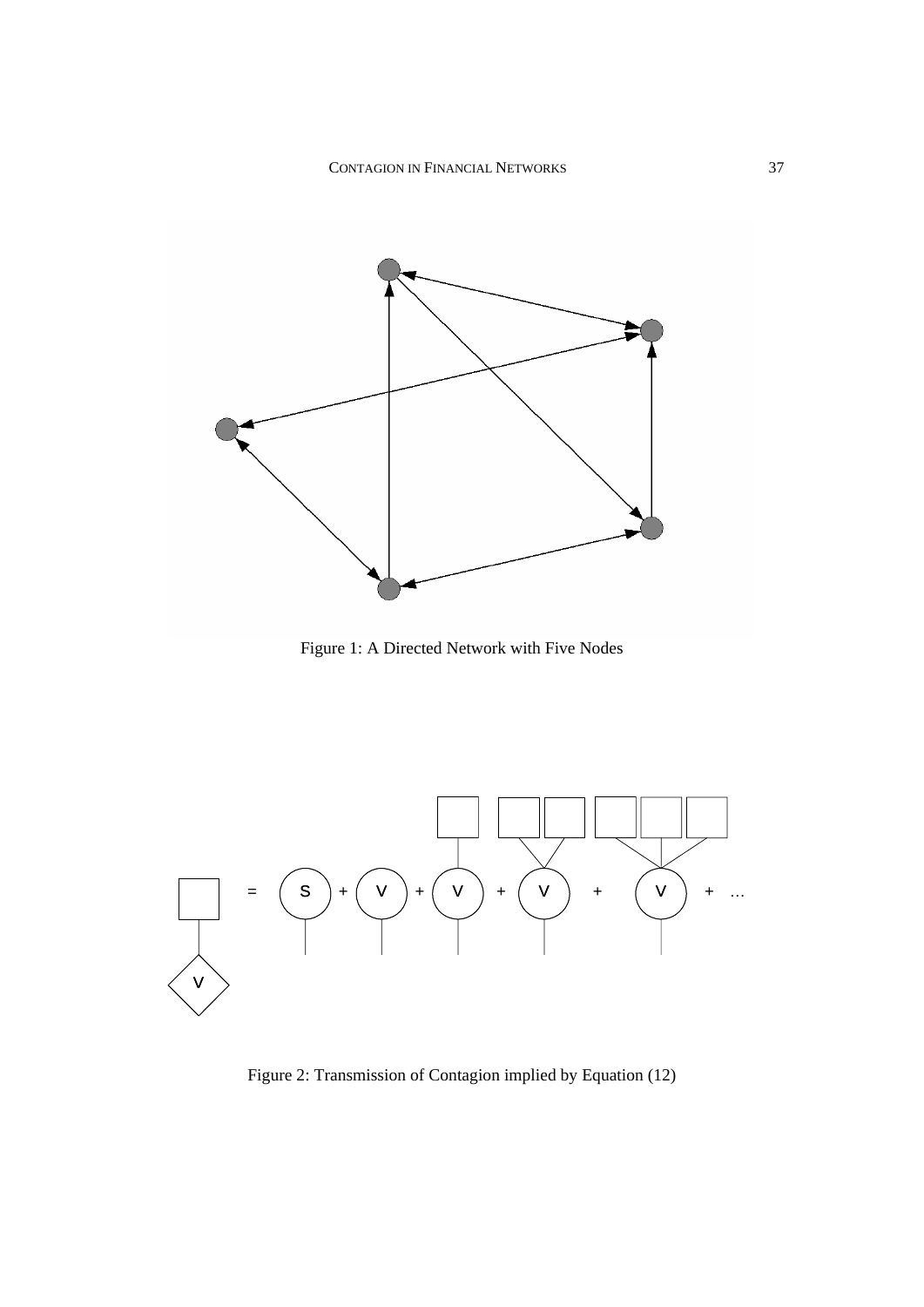

Figure 1: A Directed Network with Five Nodes



Figure 2: Transmission of Contagion implied by Equation (12)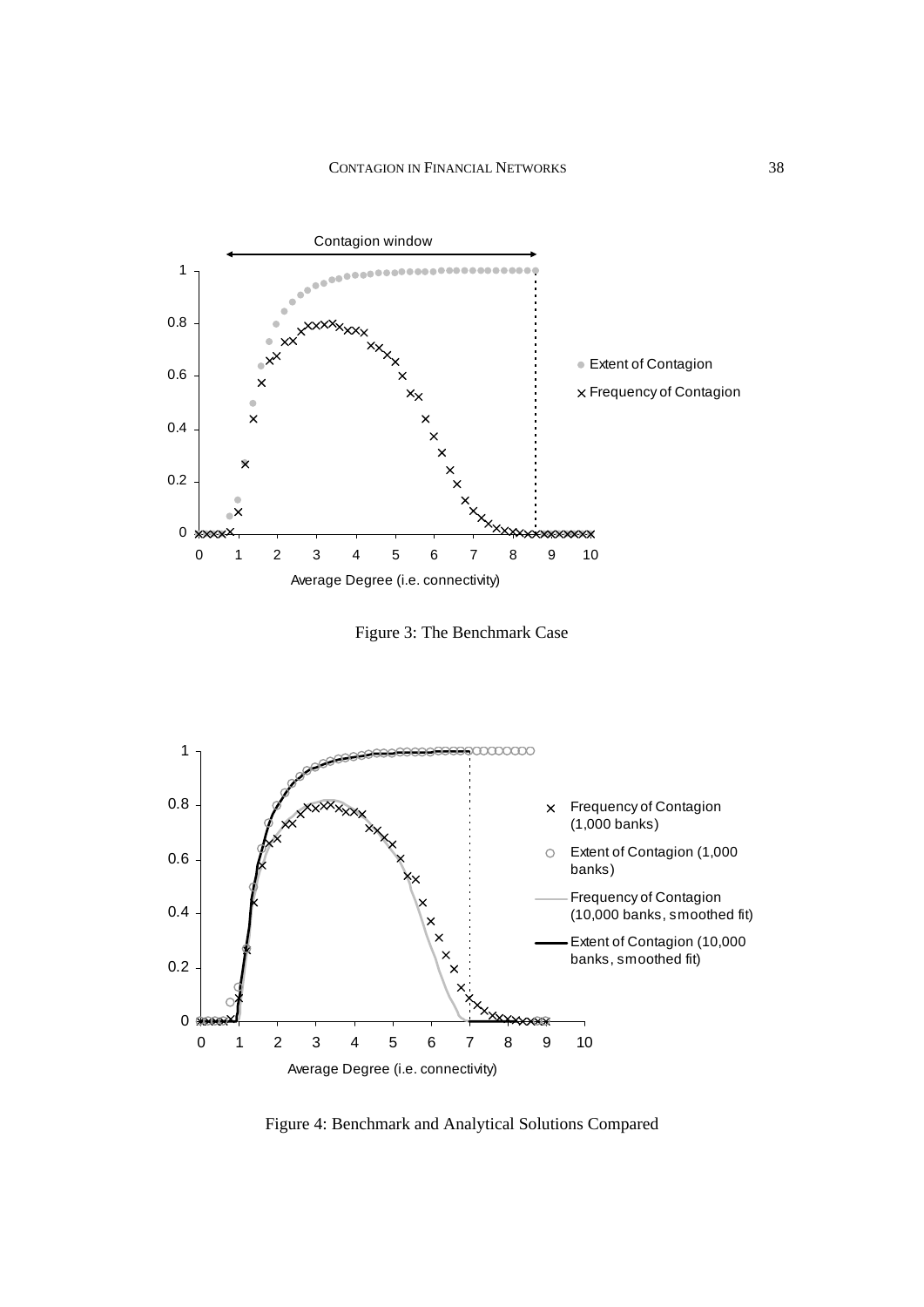

Figure 3: The Benchmark Case



Figure 4: Benchmark and Analytical Solutions Compared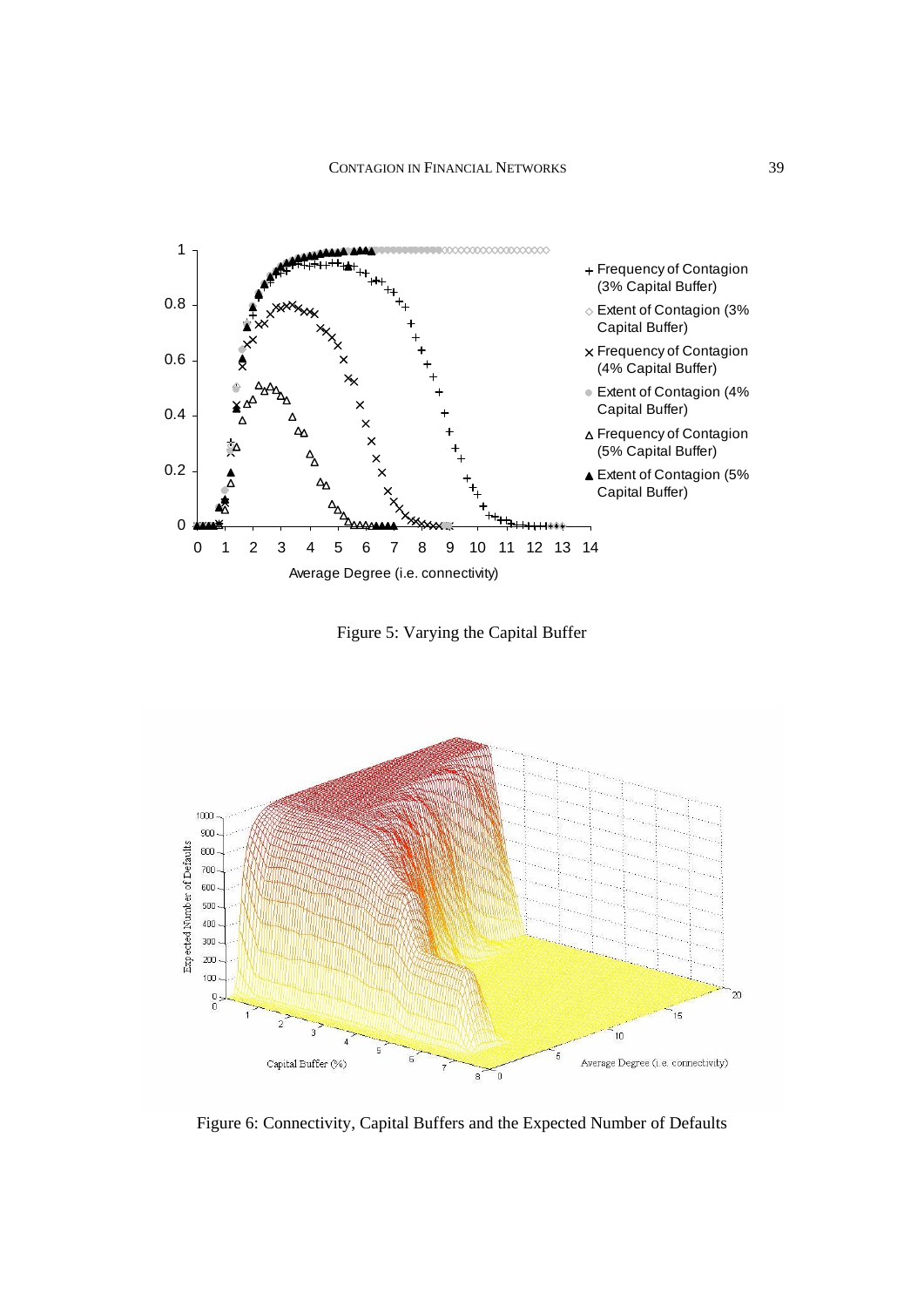

Figure 5: Varying the Capital Buffer



Figure 6: Connectivity, Capital Buffers and the Expected Number of Defaults